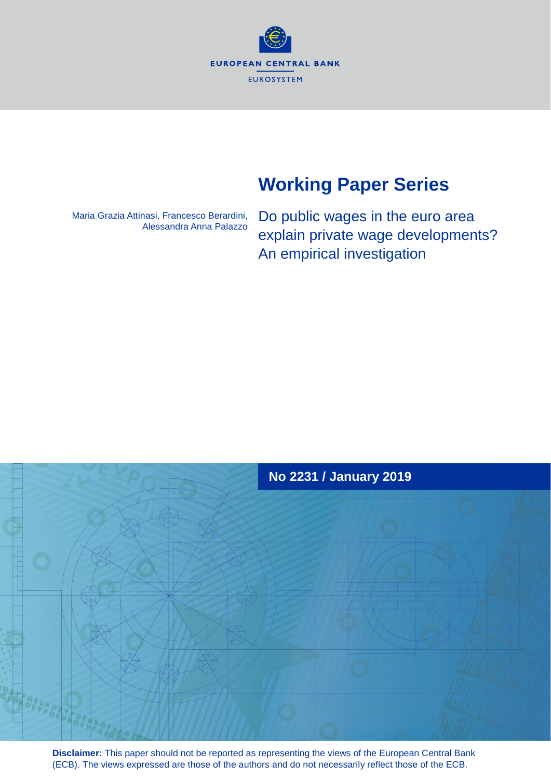**EUROPEAN CENTRAL BANK EUROSYSTEM** 

# **Working Paper Series**

Maria Grazia Attinasi, Francesco Berardini, Alessandra Anna Palazzo

Do public wages in the euro area explain private wage developments? An empirical investigation



**Disclaimer:** This paper should not be reported as representing the views of the European Central Bank (ECB). The views expressed are those of the authors and do not necessarily reflect those of the ECB.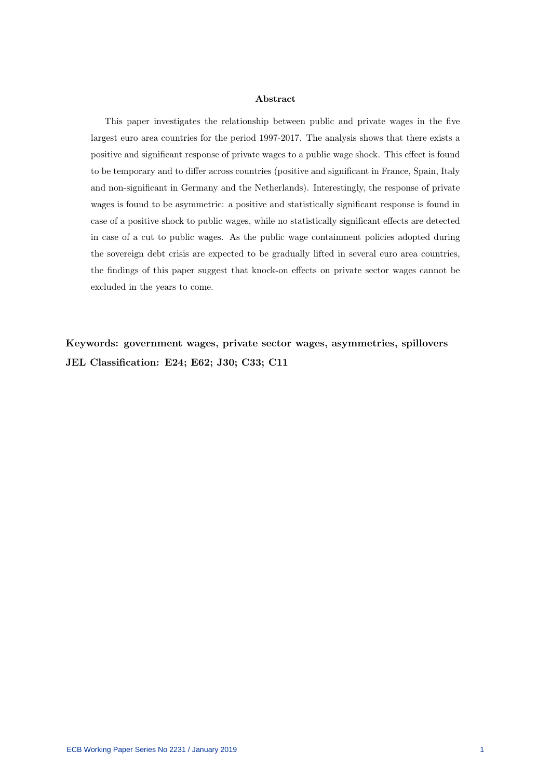#### Abstract

This paper investigates the relationship between public and private wages in the five largest euro area countries for the period 1997-2017. The analysis shows that there exists a positive and significant response of private wages to a public wage shock. This effect is found to be temporary and to differ across countries (positive and significant in France, Spain, Italy and non-significant in Germany and the Netherlands). Interestingly, the response of private wages is found to be asymmetric: a positive and statistically significant response is found in case of a positive shock to public wages, while no statistically significant effects are detected in case of a cut to public wages. As the public wage containment policies adopted during the sovereign debt crisis are expected to be gradually lifted in several euro area countries, the findings of this paper suggest that knock-on effects on private sector wages cannot be excluded in the years to come.

Keywords: government wages, private sector wages, asymmetries, spillovers JEL Classification: E24; E62; J30; C33; C11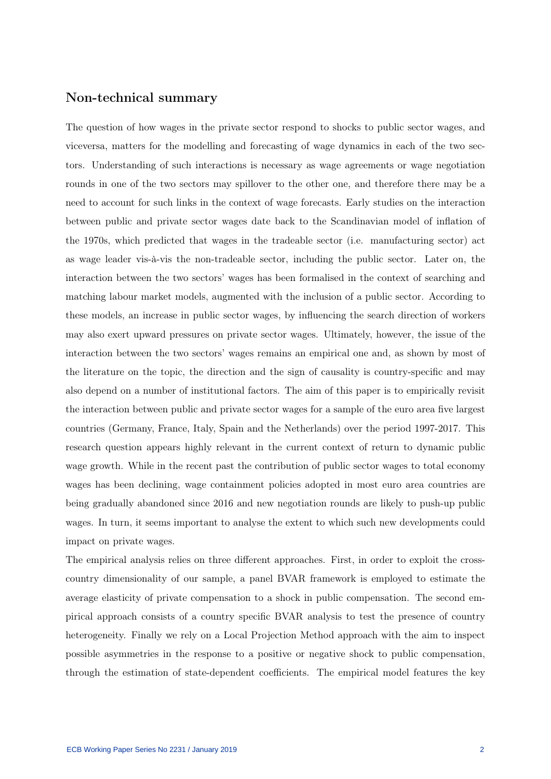### Non-technical summary

The question of how wages in the private sector respond to shocks to public sector wages, and viceversa, matters for the modelling and forecasting of wage dynamics in each of the two sectors. Understanding of such interactions is necessary as wage agreements or wage negotiation rounds in one of the two sectors may spillover to the other one, and therefore there may be a need to account for such links in the context of wage forecasts. Early studies on the interaction between public and private sector wages date back to the Scandinavian model of inflation of the 1970s, which predicted that wages in the tradeable sector (i.e. manufacturing sector) act as wage leader vis-à-vis the non-tradeable sector, including the public sector. Later on, the interaction between the two sectors' wages has been formalised in the context of searching and matching labour market models, augmented with the inclusion of a public sector. According to these models, an increase in public sector wages, by influencing the search direction of workers may also exert upward pressures on private sector wages. Ultimately, however, the issue of the interaction between the two sectors' wages remains an empirical one and, as shown by most of the literature on the topic, the direction and the sign of causality is country-specific and may also depend on a number of institutional factors. The aim of this paper is to empirically revisit the interaction between public and private sector wages for a sample of the euro area five largest countries (Germany, France, Italy, Spain and the Netherlands) over the period 1997-2017. This research question appears highly relevant in the current context of return to dynamic public wage growth. While in the recent past the contribution of public sector wages to total economy wages has been declining, wage containment policies adopted in most euro area countries are being gradually abandoned since 2016 and new negotiation rounds are likely to push-up public wages. In turn, it seems important to analyse the extent to which such new developments could impact on private wages.

The empirical analysis relies on three different approaches. First, in order to exploit the crosscountry dimensionality of our sample, a panel BVAR framework is employed to estimate the average elasticity of private compensation to a shock in public compensation. The second empirical approach consists of a country specific BVAR analysis to test the presence of country heterogeneity. Finally we rely on a Local Projection Method approach with the aim to inspect possible asymmetries in the response to a positive or negative shock to public compensation, through the estimation of state-dependent coefficients. The empirical model features the key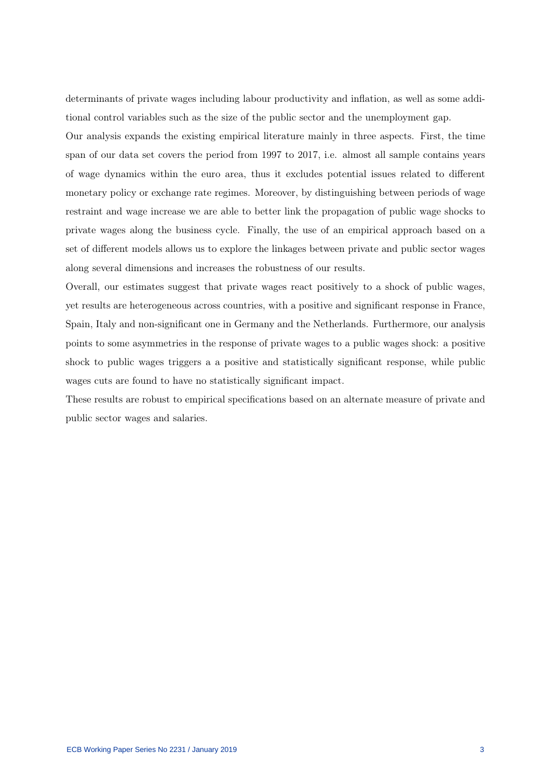determinants of private wages including labour productivity and inflation, as well as some additional control variables such as the size of the public sector and the unemployment gap.

Our analysis expands the existing empirical literature mainly in three aspects. First, the time span of our data set covers the period from 1997 to 2017, i.e. almost all sample contains years of wage dynamics within the euro area, thus it excludes potential issues related to different monetary policy or exchange rate regimes. Moreover, by distinguishing between periods of wage restraint and wage increase we are able to better link the propagation of public wage shocks to private wages along the business cycle. Finally, the use of an empirical approach based on a set of different models allows us to explore the linkages between private and public sector wages along several dimensions and increases the robustness of our results.

Overall, our estimates suggest that private wages react positively to a shock of public wages, yet results are heterogeneous across countries, with a positive and significant response in France, Spain, Italy and non-significant one in Germany and the Netherlands. Furthermore, our analysis points to some asymmetries in the response of private wages to a public wages shock: a positive shock to public wages triggers a a positive and statistically significant response, while public wages cuts are found to have no statistically significant impact.

These results are robust to empirical specifications based on an alternate measure of private and public sector wages and salaries.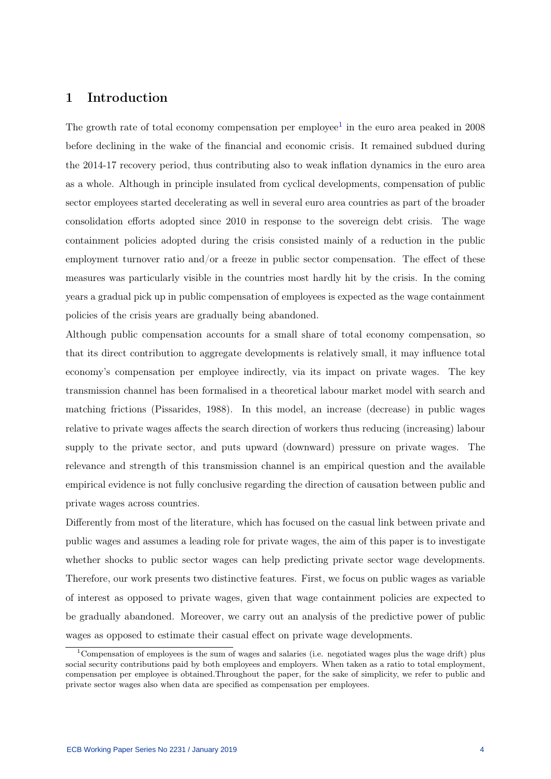## 1 Introduction

The growth rate of total economy compensation per employee<sup>[1](#page-4-0)</sup> in the euro area peaked in  $2008$ before declining in the wake of the financial and economic crisis. It remained subdued during the 2014-17 recovery period, thus contributing also to weak inflation dynamics in the euro area as a whole. Although in principle insulated from cyclical developments, compensation of public sector employees started decelerating as well in several euro area countries as part of the broader consolidation efforts adopted since 2010 in response to the sovereign debt crisis. The wage containment policies adopted during the crisis consisted mainly of a reduction in the public employment turnover ratio and/or a freeze in public sector compensation. The effect of these measures was particularly visible in the countries most hardly hit by the crisis. In the coming years a gradual pick up in public compensation of employees is expected as the wage containment policies of the crisis years are gradually being abandoned.

Although public compensation accounts for a small share of total economy compensation, so that its direct contribution to aggregate developments is relatively small, it may influence total economy's compensation per employee indirectly, via its impact on private wages. The key transmission channel has been formalised in a theoretical labour market model with search and matching frictions (Pissarides, 1988). In this model, an increase (decrease) in public wages relative to private wages affects the search direction of workers thus reducing (increasing) labour supply to the private sector, and puts upward (downward) pressure on private wages. The relevance and strength of this transmission channel is an empirical question and the available empirical evidence is not fully conclusive regarding the direction of causation between public and private wages across countries.

Differently from most of the literature, which has focused on the casual link between private and public wages and assumes a leading role for private wages, the aim of this paper is to investigate whether shocks to public sector wages can help predicting private sector wage developments. Therefore, our work presents two distinctive features. First, we focus on public wages as variable of interest as opposed to private wages, given that wage containment policies are expected to be gradually abandoned. Moreover, we carry out an analysis of the predictive power of public wages as opposed to estimate their casual effect on private wage developments.

<span id="page-4-0"></span><sup>&</sup>lt;sup>1</sup>Compensation of employees is the sum of wages and salaries (i.e. negotiated wages plus the wage drift) plus social security contributions paid by both employees and employers. When taken as a ratio to total employment, compensation per employee is obtained.Throughout the paper, for the sake of simplicity, we refer to public and private sector wages also when data are specified as compensation per employees.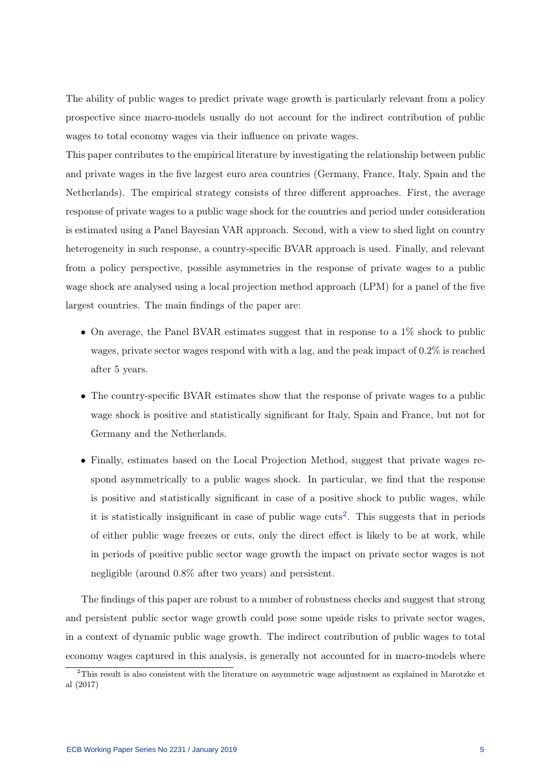The ability of public wages to predict private wage growth is particularly relevant from a policy prospective since macro-models usually do not account for the indirect contribution of public wages to total economy wages via their influence on private wages.

This paper contributes to the empirical literature by investigating the relationship between public and private wages in the five largest euro area countries (Germany, France, Italy, Spain and the Netherlands). The empirical strategy consists of three different approaches. First, the average response of private wages to a public wage shock for the countries and period under consideration is estimated using a Panel Bayesian VAR approach. Second, with a view to shed light on country heterogeneity in such response, a country-specific BVAR approach is used. Finally, and relevant from a policy perspective, possible asymmetries in the response of private wages to a public wage shock are analysed using a local projection method approach (LPM) for a panel of the five largest countries. The main findings of the paper are:

- On average, the Panel BVAR estimates suggest that in response to a  $1\%$  shock to public wages, private sector wages respond with with a lag, and the peak impact of 0.2% is reached after 5 years.
- The country-specific BVAR estimates show that the response of private wages to a public wage shock is positive and statistically significant for Italy, Spain and France, but not for Germany and the Netherlands.
- Finally, estimates based on the Local Projection Method, suggest that private wages respond asymmetrically to a public wages shock. In particular, we find that the response is positive and statistically significant in case of a positive shock to public wages, while it is statistically insignificant in case of public wage  $\text{cuts}^2$  $\text{cuts}^2$ . This suggests that in periods of either public wage freezes or cuts, only the direct effect is likely to be at work, while in periods of positive public sector wage growth the impact on private sector wages is not negligible (around 0.8% after two years) and persistent.

The findings of this paper are robust to a number of robustness checks and suggest that strong and persistent public sector wage growth could pose some upside risks to private sector wages, in a context of dynamic public wage growth. The indirect contribution of public wages to total economy wages captured in this analysis, is generally not accounted for in macro-models where

<span id="page-5-0"></span><sup>2</sup>This result is also consistent with the literature on asymmetric wage adjustment as explained in Marotzke et al (2017)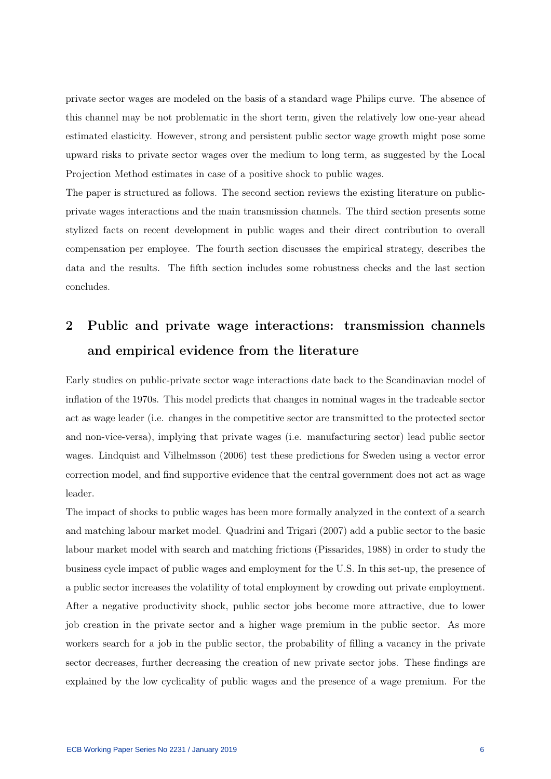private sector wages are modeled on the basis of a standard wage Philips curve. The absence of this channel may be not problematic in the short term, given the relatively low one-year ahead estimated elasticity. However, strong and persistent public sector wage growth might pose some upward risks to private sector wages over the medium to long term, as suggested by the Local Projection Method estimates in case of a positive shock to public wages.

The paper is structured as follows. The second section reviews the existing literature on publicprivate wages interactions and the main transmission channels. The third section presents some stylized facts on recent development in public wages and their direct contribution to overall compensation per employee. The fourth section discusses the empirical strategy, describes the data and the results. The fifth section includes some robustness checks and the last section concludes.

# 2 Public and private wage interactions: transmission channels and empirical evidence from the literature

Early studies on public-private sector wage interactions date back to the Scandinavian model of inflation of the 1970s. This model predicts that changes in nominal wages in the tradeable sector act as wage leader (i.e. changes in the competitive sector are transmitted to the protected sector and non-vice-versa), implying that private wages (i.e. manufacturing sector) lead public sector wages. Lindquist and Vilhelmsson (2006) test these predictions for Sweden using a vector error correction model, and find supportive evidence that the central government does not act as wage leader.

The impact of shocks to public wages has been more formally analyzed in the context of a search and matching labour market model. Quadrini and Trigari (2007) add a public sector to the basic labour market model with search and matching frictions (Pissarides, 1988) in order to study the business cycle impact of public wages and employment for the U.S. In this set-up, the presence of a public sector increases the volatility of total employment by crowding out private employment. After a negative productivity shock, public sector jobs become more attractive, due to lower job creation in the private sector and a higher wage premium in the public sector. As more workers search for a job in the public sector, the probability of filling a vacancy in the private sector decreases, further decreasing the creation of new private sector jobs. These findings are explained by the low cyclicality of public wages and the presence of a wage premium. For the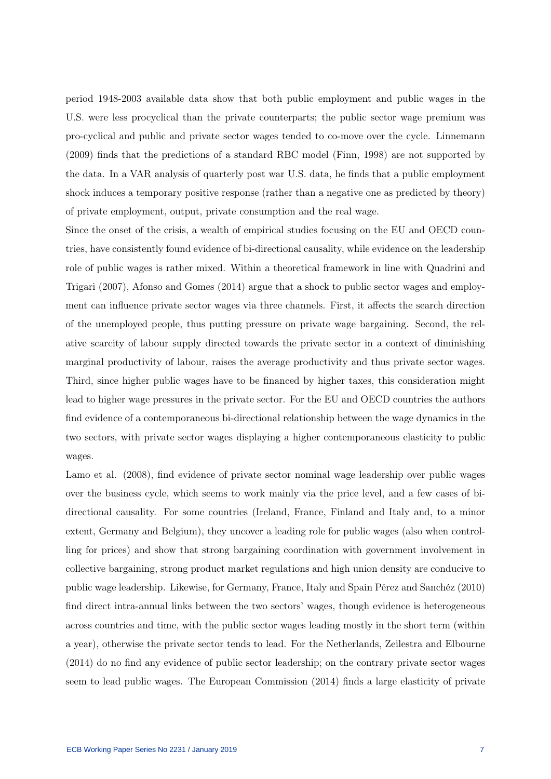period 1948-2003 available data show that both public employment and public wages in the U.S. were less procyclical than the private counterparts; the public sector wage premium was pro-cyclical and public and private sector wages tended to co-move over the cycle. Linnemann (2009) finds that the predictions of a standard RBC model (Finn, 1998) are not supported by the data. In a VAR analysis of quarterly post war U.S. data, he finds that a public employment shock induces a temporary positive response (rather than a negative one as predicted by theory) of private employment, output, private consumption and the real wage.

Since the onset of the crisis, a wealth of empirical studies focusing on the EU and OECD countries, have consistently found evidence of bi-directional causality, while evidence on the leadership role of public wages is rather mixed. Within a theoretical framework in line with Quadrini and Trigari (2007), Afonso and Gomes (2014) argue that a shock to public sector wages and employment can influence private sector wages via three channels. First, it affects the search direction of the unemployed people, thus putting pressure on private wage bargaining. Second, the relative scarcity of labour supply directed towards the private sector in a context of diminishing marginal productivity of labour, raises the average productivity and thus private sector wages. Third, since higher public wages have to be financed by higher taxes, this consideration might lead to higher wage pressures in the private sector. For the EU and OECD countries the authors find evidence of a contemporaneous bi-directional relationship between the wage dynamics in the two sectors, with private sector wages displaying a higher contemporaneous elasticity to public wages.

Lamo et al. (2008), find evidence of private sector nominal wage leadership over public wages over the business cycle, which seems to work mainly via the price level, and a few cases of bidirectional causality. For some countries (Ireland, France, Finland and Italy and, to a minor extent, Germany and Belgium), they uncover a leading role for public wages (also when controlling for prices) and show that strong bargaining coordination with government involvement in collective bargaining, strong product market regulations and high union density are conducive to public wage leadership. Likewise, for Germany, France, Italy and Spain Pérez and Sanchéz (2010) find direct intra-annual links between the two sectors' wages, though evidence is heterogeneous across countries and time, with the public sector wages leading mostly in the short term (within a year), otherwise the private sector tends to lead. For the Netherlands, Zeilestra and Elbourne (2014) do no find any evidence of public sector leadership; on the contrary private sector wages seem to lead public wages. The European Commission (2014) finds a large elasticity of private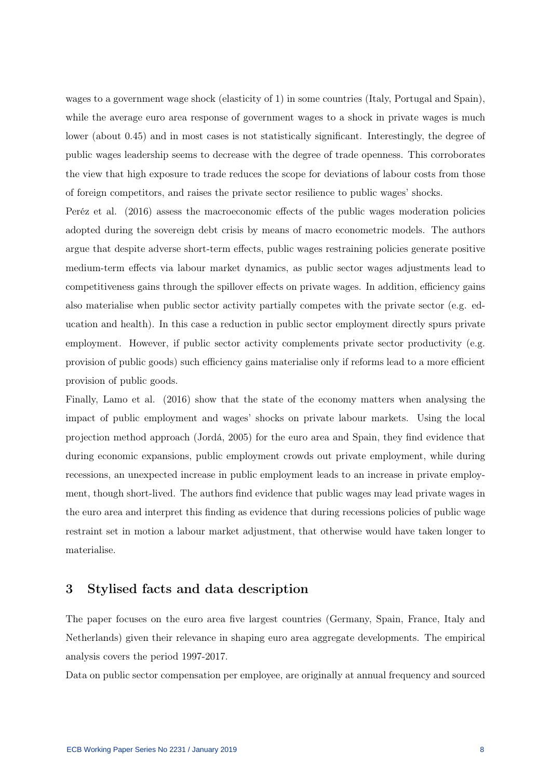wages to a government wage shock (elasticity of 1) in some countries (Italy, Portugal and Spain), while the average euro area response of government wages to a shock in private wages is much lower (about 0.45) and in most cases is not statistically significant. Interestingly, the degree of public wages leadership seems to decrease with the degree of trade openness. This corroborates the view that high exposure to trade reduces the scope for deviations of labour costs from those of foreign competitors, and raises the private sector resilience to public wages' shocks.

Peréz et al. (2016) assess the macroeconomic effects of the public wages moderation policies adopted during the sovereign debt crisis by means of macro econometric models. The authors argue that despite adverse short-term effects, public wages restraining policies generate positive medium-term effects via labour market dynamics, as public sector wages adjustments lead to competitiveness gains through the spillover effects on private wages. In addition, efficiency gains also materialise when public sector activity partially competes with the private sector (e.g. education and health). In this case a reduction in public sector employment directly spurs private employment. However, if public sector activity complements private sector productivity (e.g. provision of public goods) such efficiency gains materialise only if reforms lead to a more efficient provision of public goods.

Finally, Lamo et al. (2016) show that the state of the economy matters when analysing the impact of public employment and wages' shocks on private labour markets. Using the local projection method approach (Jordá, 2005) for the euro area and Spain, they find evidence that during economic expansions, public employment crowds out private employment, while during recessions, an unexpected increase in public employment leads to an increase in private employment, though short-lived. The authors find evidence that public wages may lead private wages in the euro area and interpret this finding as evidence that during recessions policies of public wage restraint set in motion a labour market adjustment, that otherwise would have taken longer to materialise.

### 3 Stylised facts and data description

The paper focuses on the euro area five largest countries (Germany, Spain, France, Italy and Netherlands) given their relevance in shaping euro area aggregate developments. The empirical analysis covers the period 1997-2017.

Data on public sector compensation per employee, are originally at annual frequency and sourced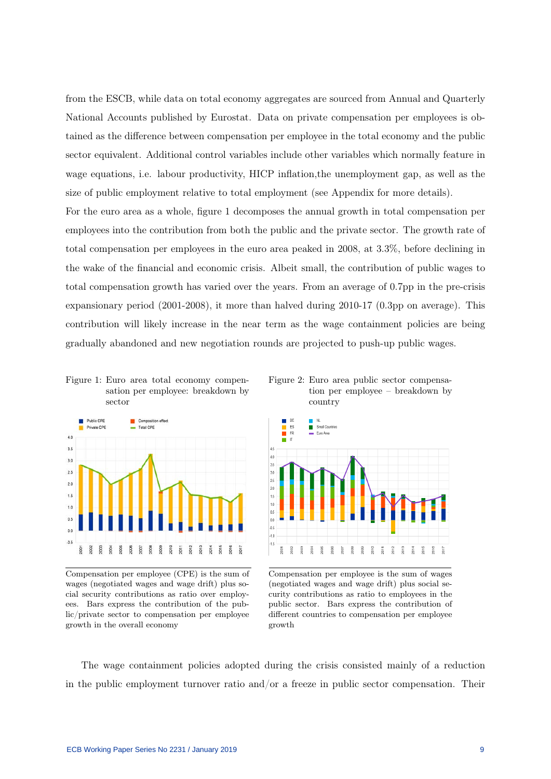from the ESCB, while data on total economy aggregates are sourced from Annual and Quarterly National Accounts published by Eurostat. Data on private compensation per employees is obtained as the difference between compensation per employee in the total economy and the public sector equivalent. Additional control variables include other variables which normally feature in wage equations, i.e. labour productivity, HICP inflation,the unemployment gap, as well as the size of public employment relative to total employment (see Appendix for more details).

For the euro area as a whole, figure 1 decomposes the annual growth in total compensation per employees into the contribution from both the public and the private sector. The growth rate of total compensation per employees in the euro area peaked in 2008, at 3.3%, before declining in the wake of the financial and economic crisis. Albeit small, the contribution of public wages to total compensation growth has varied over the years. From an average of 0.7pp in the pre-crisis expansionary period (2001-2008), it more than halved during 2010-17 (0.3pp on average). This contribution will likely increase in the near term as the wage containment policies are being gradually abandoned and new negotiation rounds are projected to push-up public wages.





Compensation per employee (CPE) is the sum of wages (negotiated wages and wage drift) plus social security contributions as ratio over employees. Bars express the contribution of the public/private sector to compensation per employee growth in the overall economy

Figure 2: Euro area public sector compensation per employee – breakdown by country



Compensation per employee is the sum of wages (negotiated wages and wage drift) plus social security contributions as ratio to employees in the public sector. Bars express the contribution of different countries to compensation per employee growth

The wage containment policies adopted during the crisis consisted mainly of a reduction in the public employment turnover ratio and/or a freeze in public sector compensation. Their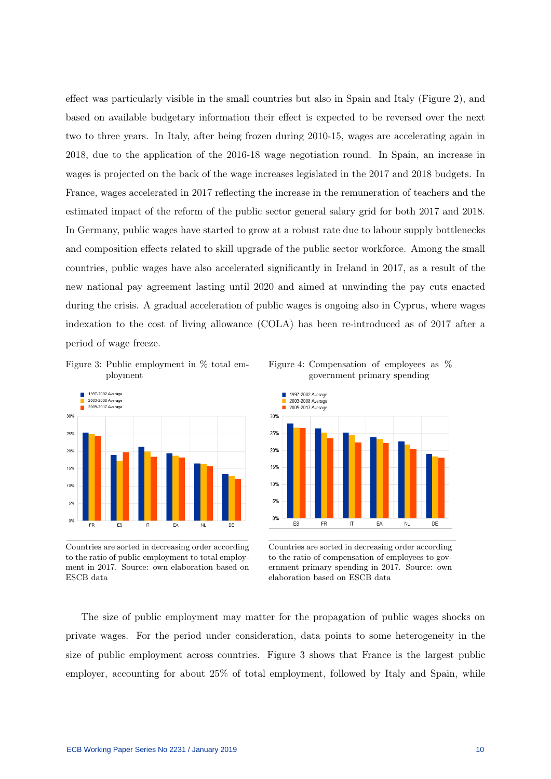effect was particularly visible in the small countries but also in Spain and Italy (Figure 2), and based on available budgetary information their effect is expected to be reversed over the next two to three years. In Italy, after being frozen during 2010-15, wages are accelerating again in 2018, due to the application of the 2016-18 wage negotiation round. In Spain, an increase in wages is projected on the back of the wage increases legislated in the 2017 and 2018 budgets. In France, wages accelerated in 2017 reflecting the increase in the remuneration of teachers and the estimated impact of the reform of the public sector general salary grid for both 2017 and 2018. In Germany, public wages have started to grow at a robust rate due to labour supply bottlenecks and composition effects related to skill upgrade of the public sector workforce. Among the small countries, public wages have also accelerated significantly in Ireland in 2017, as a result of the new national pay agreement lasting until 2020 and aimed at unwinding the pay cuts enacted during the crisis. A gradual acceleration of public wages is ongoing also in Cyprus, where wages indexation to the cost of living allowance (COLA) has been re-introduced as of 2017 after a period of wage freeze.

Figure 3: Public employment in % total employment



Countries are sorted in decreasing order according to the ratio of public employment to total employment in 2017. Source: own elaboration based on ESCB data





Countries are sorted in decreasing order according to the ratio of compensation of employees to government primary spending in 2017. Source: own elaboration based on ESCB data

The size of public employment may matter for the propagation of public wages shocks on private wages. For the period under consideration, data points to some heterogeneity in the size of public employment across countries. Figure 3 shows that France is the largest public employer, accounting for about 25% of total employment, followed by Italy and Spain, while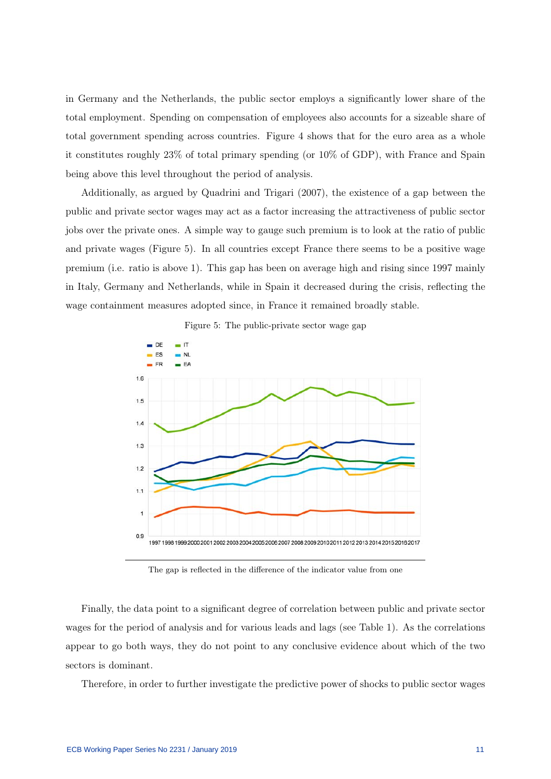in Germany and the Netherlands, the public sector employs a significantly lower share of the total employment. Spending on compensation of employees also accounts for a sizeable share of total government spending across countries. Figure 4 shows that for the euro area as a whole it constitutes roughly 23% of total primary spending (or 10% of GDP), with France and Spain being above this level throughout the period of analysis.

Additionally, as argued by Quadrini and Trigari (2007), the existence of a gap between the public and private sector wages may act as a factor increasing the attractiveness of public sector jobs over the private ones. A simple way to gauge such premium is to look at the ratio of public and private wages (Figure 5). In all countries except France there seems to be a positive wage premium (i.e. ratio is above 1). This gap has been on average high and rising since 1997 mainly in Italy, Germany and Netherlands, while in Spain it decreased during the crisis, reflecting the wage containment measures adopted since, in France it remained broadly stable.





The gap is reflected in the difference of the indicator value from one

Finally, the data point to a significant degree of correlation between public and private sector wages for the period of analysis and for various leads and lags (see Table 1). As the correlations appear to go both ways, they do not point to any conclusive evidence about which of the two sectors is dominant.

Therefore, in order to further investigate the predictive power of shocks to public sector wages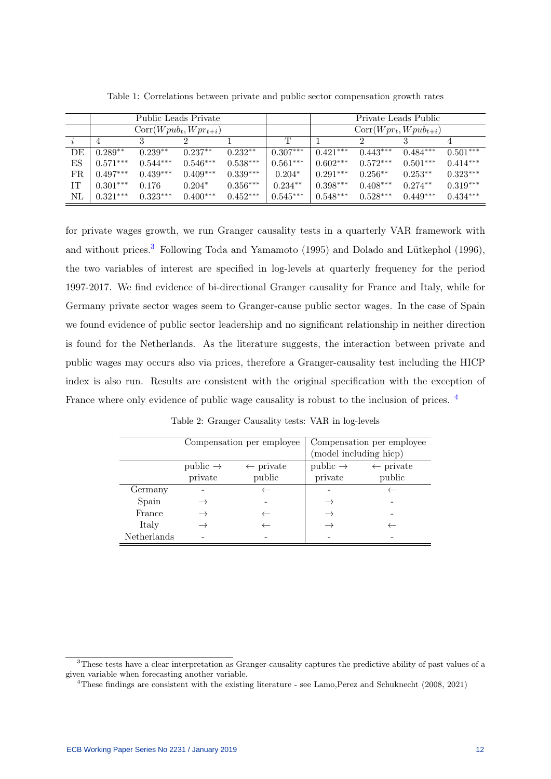|     | Public Leads Private |            |                           |            |            | Private Leads Public      |            |            |            |  |  |
|-----|----------------------|------------|---------------------------|------------|------------|---------------------------|------------|------------|------------|--|--|
|     |                      |            | $Corr(Wpub_t, Wpr_{t+i})$ |            |            | $Corr(Wpr_t, Wpub_{t+i})$ |            |            |            |  |  |
|     |                      |            |                           |            | T          |                           |            |            |            |  |  |
| DE  | $0.289**$            | $0.239**$  | $0.237**$                 | $0.232**$  | $0.307***$ | $0.421***$                | $0.443***$ | $0.484***$ | $0.501***$ |  |  |
| ΕS  | $0.571***$           | $0.544***$ | $0.546***$                | $0.538***$ | $0.561***$ | $0.602***$                | $0.572***$ | $0.501***$ | $0.414***$ |  |  |
| FR. | $0.497***$           | $0.439***$ | $0.409***$                | $0.339***$ | $0.204*$   | $0.291***$                | $0.256**$  | $0.253**$  | $0.323***$ |  |  |
| IТ  | $0.301***$           | 0.176      | $0.204*$                  | $0.356***$ | $0.234**$  | $0.398***$                | $0.408***$ | $0.274**$  | $0.319***$ |  |  |
| NL  | $0.321***$           | $0.323***$ | $0.400***$                | $0.452***$ | $0.545***$ | $0.548***$                | $0.528***$ | $0.449***$ | $0.434***$ |  |  |

Table 1: Correlations between private and public sector compensation growth rates

for private wages growth, we run Granger causality tests in a quarterly VAR framework with and without prices.<sup>[3](#page-12-0)</sup> Following Toda and Yamamoto (1995) and Dolado and Lütkephol (1996), the two variables of interest are specified in log-levels at quarterly frequency for the period 1997-2017. We find evidence of bi-directional Granger causality for France and Italy, while for Germany private sector wages seem to Granger-cause public sector wages. In the case of Spain we found evidence of public sector leadership and no significant relationship in neither direction is found for the Netherlands. As the literature suggests, the interaction between private and public wages may occurs also via prices, therefore a Granger-causality test including the HICP index is also run. Results are consistent with the original specification with the exception of France where only evidence of public wage causality is robust to the inclusion of prices.<sup>[4](#page-12-1)</sup>

Compensation per employee Compensation per employee (model including hicp) public  $\rightarrow \leftarrow$  private public  $\rightarrow \leftarrow$  private private public private public Germany - ←  $\leftarrow$  - ← Spain  $\rightarrow$  -  $\rightarrow$  -France  $\rightarrow$   $\leftarrow$   $\rightarrow$  -Italy  $\rightarrow$  ←  $\rightarrow$  ← Netherlands - - - -

Table 2: Granger Causality tests: VAR in log-levels

<span id="page-12-0"></span><sup>&</sup>lt;sup>3</sup>These tests have a clear interpretation as Granger-causality captures the predictive ability of past values of a given variable when forecasting another variable.

<span id="page-12-1"></span><sup>4</sup>These findings are consistent with the existing literature - see Lamo,Perez and Schuknecht (2008, 2021)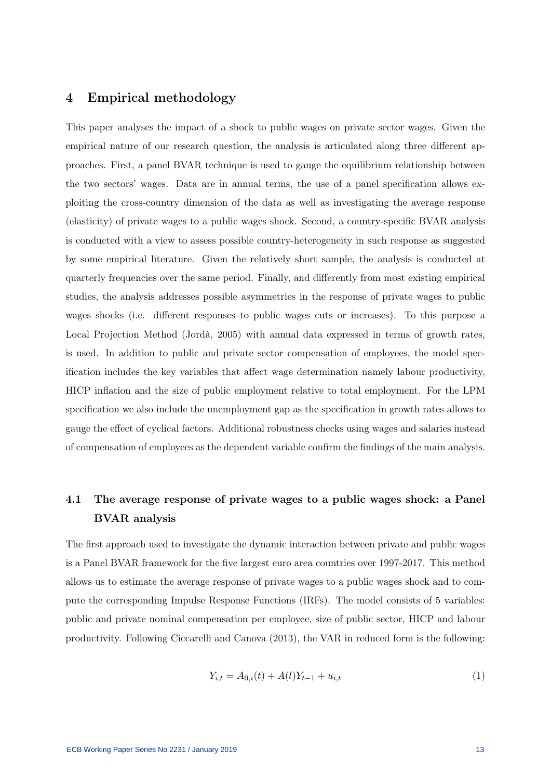### 4 Empirical methodology

This paper analyses the impact of a shock to public wages on private sector wages. Given the empirical nature of our research question, the analysis is articulated along three different approaches. First, a panel BVAR technique is used to gauge the equilibrium relationship between the two sectors' wages. Data are in annual terms, the use of a panel specification allows exploiting the cross-country dimension of the data as well as investigating the average response (elasticity) of private wages to a public wages shock. Second, a country-specific BVAR analysis is conducted with a view to assess possible country-heterogeneity in such response as suggested by some empirical literature. Given the relatively short sample, the analysis is conducted at quarterly frequencies over the same period. Finally, and differently from most existing empirical studies, the analysis addresses possible asymmetries in the response of private wages to public wages shocks (i.e. different responses to public wages cuts or increases). To this purpose a Local Projection Method (Jordà, 2005) with annual data expressed in terms of growth rates, is used. In addition to public and private sector compensation of employees, the model specification includes the key variables that affect wage determination namely labour productivity, HICP inflation and the size of public employment relative to total employment. For the LPM specification we also include the unemployment gap as the specification in growth rates allows to gauge the effect of cyclical factors. Additional robustness checks using wages and salaries instead of compensation of employees as the dependent variable confirm the findings of the main analysis.

## 4.1 The average response of private wages to a public wages shock: a Panel BVAR analysis

The first approach used to investigate the dynamic interaction between private and public wages is a Panel BVAR framework for the five largest euro area countries over 1997-2017. This method allows us to estimate the average response of private wages to a public wages shock and to compute the corresponding Impulse Response Functions (IRFs). The model consists of 5 variables: public and private nominal compensation per employee, size of public sector, HICP and labour productivity. Following Ciccarelli and Canova (2013), the VAR in reduced form is the following:

$$
Y_{i,t} = A_{0,i}(t) + A(l)Y_{t-1} + u_{i,t}
$$
\n<sup>(1)</sup>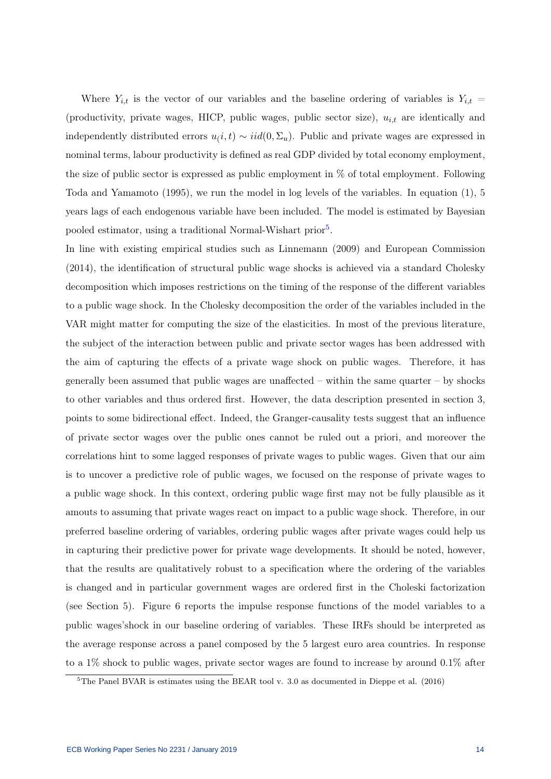Where  $Y_{i,t}$  is the vector of our variables and the baseline ordering of variables is  $Y_{i,t}$  = (productivity, private wages, HICP, public wages, public sector size),  $u_{i,t}$  are identically and independently distributed errors  $u(i, t) \sim iid(0, \Sigma_u)$ . Public and private wages are expressed in nominal terms, labour productivity is defined as real GDP divided by total economy employment, the size of public sector is expressed as public employment in % of total employment. Following Toda and Yamamoto (1995), we run the model in log levels of the variables. In equation (1), 5 years lags of each endogenous variable have been included. The model is estimated by Bayesian pooled estimator, using a traditional Normal-Wishart prior<sup>[5](#page-14-0)</sup>.

In line with existing empirical studies such as Linnemann (2009) and European Commission (2014), the identification of structural public wage shocks is achieved via a standard Cholesky decomposition which imposes restrictions on the timing of the response of the different variables to a public wage shock. In the Cholesky decomposition the order of the variables included in the VAR might matter for computing the size of the elasticities. In most of the previous literature, the subject of the interaction between public and private sector wages has been addressed with the aim of capturing the effects of a private wage shock on public wages. Therefore, it has generally been assumed that public wages are unaffected – within the same quarter – by shocks to other variables and thus ordered first. However, the data description presented in section 3, points to some bidirectional effect. Indeed, the Granger-causality tests suggest that an influence of private sector wages over the public ones cannot be ruled out a priori, and moreover the correlations hint to some lagged responses of private wages to public wages. Given that our aim is to uncover a predictive role of public wages, we focused on the response of private wages to a public wage shock. In this context, ordering public wage first may not be fully plausible as it amouts to assuming that private wages react on impact to a public wage shock. Therefore, in our preferred baseline ordering of variables, ordering public wages after private wages could help us in capturing their predictive power for private wage developments. It should be noted, however, that the results are qualitatively robust to a specification where the ordering of the variables is changed and in particular government wages are ordered first in the Choleski factorization (see Section 5). Figure 6 reports the impulse response functions of the model variables to a public wages'shock in our baseline ordering of variables. These IRFs should be interpreted as the average response across a panel composed by the 5 largest euro area countries. In response to a  $1\%$  shock to public wages, private sector wages are found to increase by around  $0.1\%$  after

<span id="page-14-0"></span> $5$ The Panel BVAR is estimates using the BEAR tool v. 3.0 as documented in Dieppe et al. (2016)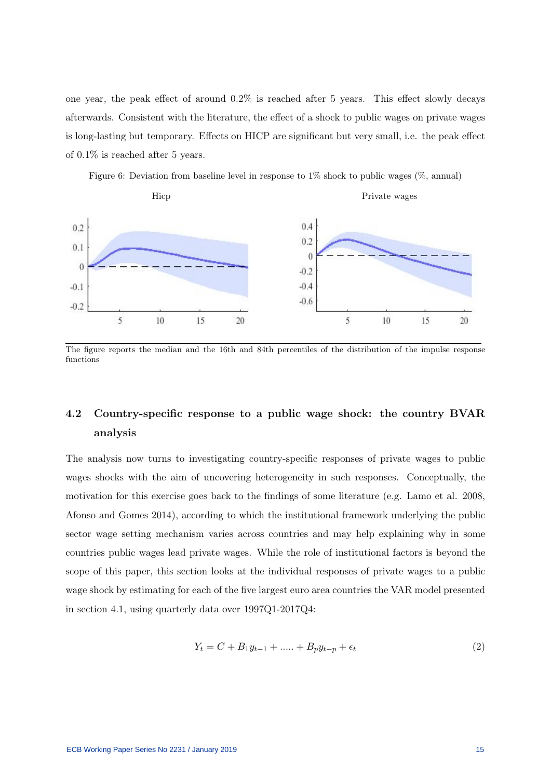one year, the peak effect of around 0.2% is reached after 5 years. This effect slowly decays afterwards. Consistent with the literature, the effect of a shock to public wages on private wages is long-lasting but temporary. Effects on HICP are significant but very small, i.e. the peak effect of 0.1% is reached after 5 years.

Figure 6: Deviation from baseline level in response to  $1\%$  shock to public wages ( $\%$ , annual)



The figure reports the median and the 16th and 84th percentiles of the distribution of the impulse response functions

## 4.2 Country-specific response to a public wage shock: the country BVAR analysis

The analysis now turns to investigating country-specific responses of private wages to public wages shocks with the aim of uncovering heterogeneity in such responses. Conceptually, the motivation for this exercise goes back to the findings of some literature (e.g. Lamo et al. 2008, Afonso and Gomes 2014), according to which the institutional framework underlying the public sector wage setting mechanism varies across countries and may help explaining why in some countries public wages lead private wages. While the role of institutional factors is beyond the scope of this paper, this section looks at the individual responses of private wages to a public wage shock by estimating for each of the five largest euro area countries the VAR model presented in section 4.1, using quarterly data over 1997Q1-2017Q4:

$$
Y_t = C + B_1 y_{t-1} + \dots + B_p y_{t-p} + \epsilon_t \tag{2}
$$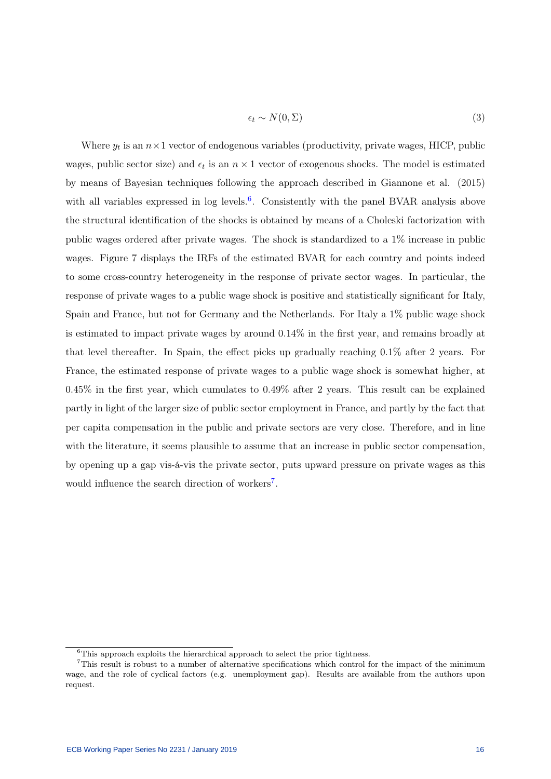$$
\epsilon_t \sim N(0, \Sigma) \tag{3}
$$

Where  $y_t$  is an  $n \times 1$  vector of endogenous variables (productivity, private wages, HICP, public wages, public sector size) and  $\epsilon_t$  is an  $n \times 1$  vector of exogenous shocks. The model is estimated by means of Bayesian techniques following the approach described in Giannone et al. (2015) with all variables expressed in  $\log$  levels.<sup>[6](#page-16-0)</sup>. Consistently with the panel BVAR analysis above the structural identification of the shocks is obtained by means of a Choleski factorization with public wages ordered after private wages. The shock is standardized to a 1% increase in public wages. Figure 7 displays the IRFs of the estimated BVAR for each country and points indeed to some cross-country heterogeneity in the response of private sector wages. In particular, the response of private wages to a public wage shock is positive and statistically significant for Italy, Spain and France, but not for Germany and the Netherlands. For Italy a 1% public wage shock is estimated to impact private wages by around 0.14% in the first year, and remains broadly at that level thereafter. In Spain, the effect picks up gradually reaching 0.1% after 2 years. For France, the estimated response of private wages to a public wage shock is somewhat higher, at 0.45% in the first year, which cumulates to 0.49% after 2 years. This result can be explained partly in light of the larger size of public sector employment in France, and partly by the fact that per capita compensation in the public and private sectors are very close. Therefore, and in line with the literature, it seems plausible to assume that an increase in public sector compensation, by opening up a gap vis-á-vis the private sector, puts upward pressure on private wages as this would influence the search direction of workers<sup>[7](#page-16-1)</sup>.

<span id="page-16-1"></span><span id="page-16-0"></span> ${}^{6}$ This approach exploits the hierarchical approach to select the prior tightness.

<sup>&</sup>lt;sup>7</sup>This result is robust to a number of alternative specifications which control for the impact of the minimum wage, and the role of cyclical factors (e.g. unemployment gap). Results are available from the authors upon request.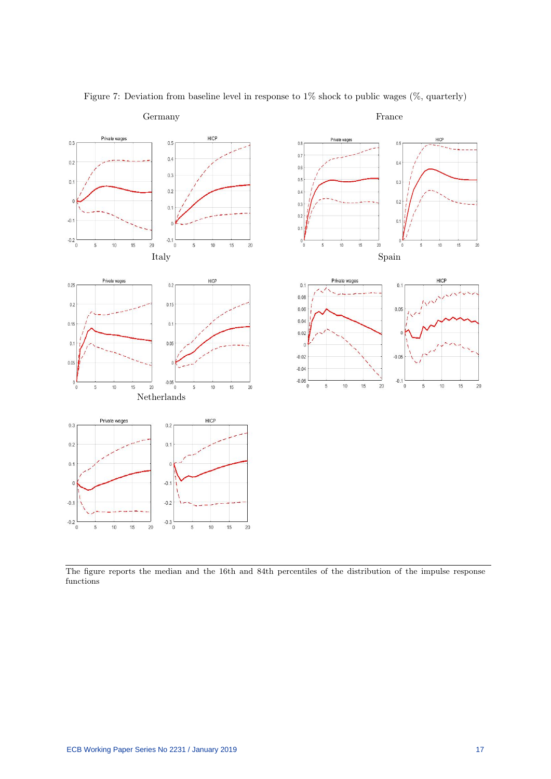

Figure 7: Deviation from baseline level in response to 1% shock to public wages (%, quarterly)

The figure reports the median and the 16th and 84th percentiles of the distribution of the impulse response functions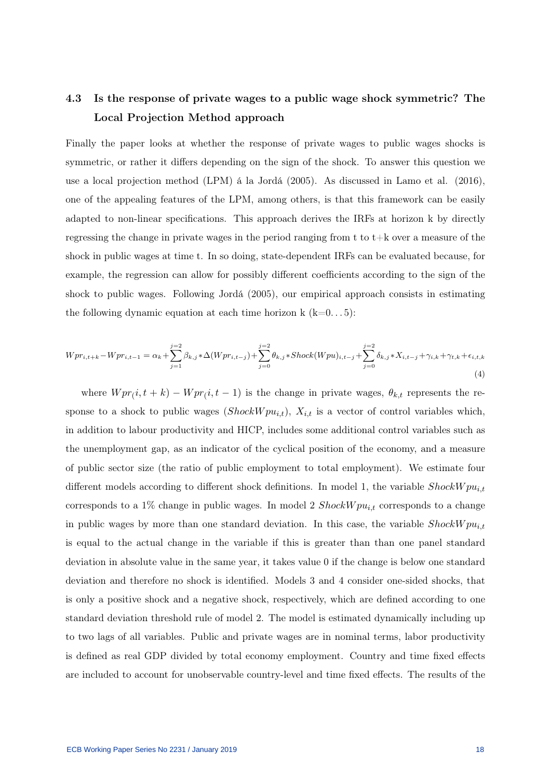## 4.3 Is the response of private wages to a public wage shock symmetric? The Local Projection Method approach

Finally the paper looks at whether the response of private wages to public wages shocks is symmetric, or rather it differs depending on the sign of the shock. To answer this question we use a local projection method (LPM) á la Jordá (2005). As discussed in Lamo et al. (2016), one of the appealing features of the LPM, among others, is that this framework can be easily adapted to non-linear specifications. This approach derives the IRFs at horizon k by directly regressing the change in private wages in the period ranging from  $t$  to  $t+k$  over a measure of the shock in public wages at time t. In so doing, state-dependent IRFs can be evaluated because, for example, the regression can allow for possibly different coefficients according to the sign of the shock to public wages. Following Jordá (2005), our empirical approach consists in estimating the following dynamic equation at each time horizon k  $(k=0...5)$ :

$$
Wpr_{i,t+k} - Wpr_{i,t-1} = \alpha_k + \sum_{j=1}^{j=2} \beta_{k,j} * \Delta(Wpr_{i,t-j}) + \sum_{j=0}^{j=2} \theta_{k,j} * Shock(Wpu)_{i,t-j} + \sum_{j=0}^{j=2} \delta_{k,j} * X_{i,t-j} + \gamma_{i,k} + \gamma_{t,k} + \epsilon_{i,t,k}
$$
\n(4)

where  $Wpr(i, t + k) - Wpr(i, t - 1)$  is the change in private wages,  $\theta_{k,t}$  represents the response to a shock to public wages ( $Showpu_{i,t}$ ),  $X_{i,t}$  is a vector of control variables which, in addition to labour productivity and HICP, includes some additional control variables such as the unemployment gap, as an indicator of the cyclical position of the economy, and a measure of public sector size (the ratio of public employment to total employment). We estimate four different models according to different shock definitions. In model 1, the variable  $Showpu_{i,t}$ corresponds to a 1% change in public wages. In model 2  $Showpu_{i,t}$  corresponds to a change in public wages by more than one standard deviation. In this case, the variable  $Showpu_{i,t}$ is equal to the actual change in the variable if this is greater than than one panel standard deviation in absolute value in the same year, it takes value 0 if the change is below one standard deviation and therefore no shock is identified. Models 3 and 4 consider one-sided shocks, that is only a positive shock and a negative shock, respectively, which are defined according to one standard deviation threshold rule of model 2. The model is estimated dynamically including up to two lags of all variables. Public and private wages are in nominal terms, labor productivity is defined as real GDP divided by total economy employment. Country and time fixed effects are included to account for unobservable country-level and time fixed effects. The results of the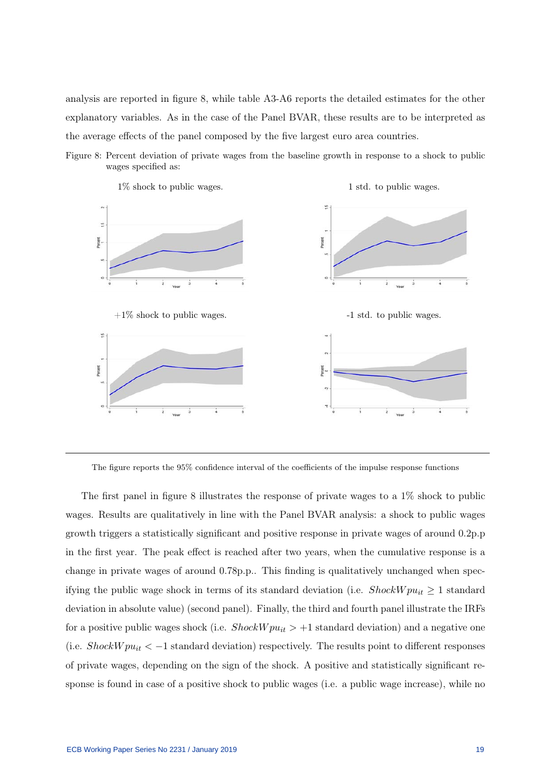analysis are reported in figure 8, while table A3-A6 reports the detailed estimates for the other explanatory variables. As in the case of the Panel BVAR, these results are to be interpreted as the average effects of the panel composed by the five largest euro area countries.





The figure reports the 95% confidence interval of the coefficients of the impulse response functions

The first panel in figure 8 illustrates the response of private wages to a  $1\%$  shock to public wages. Results are qualitatively in line with the Panel BVAR analysis: a shock to public wages growth triggers a statistically significant and positive response in private wages of around 0.2p.p in the first year. The peak effect is reached after two years, when the cumulative response is a change in private wages of around 0.78p.p.. This finding is qualitatively unchanged when specifying the public wage shock in terms of its standard deviation (i.e.  $Showpu_{it} \geq 1$  standard deviation in absolute value) (second panel). Finally, the third and fourth panel illustrate the IRFs for a positive public wages shock (i.e.  $Showpu_{it} > +1$  standard deviation) and a negative one (i.e.  $Show \mu_{it} < -1$  standard deviation) respectively. The results point to different responses of private wages, depending on the sign of the shock. A positive and statistically significant response is found in case of a positive shock to public wages (i.e. a public wage increase), while no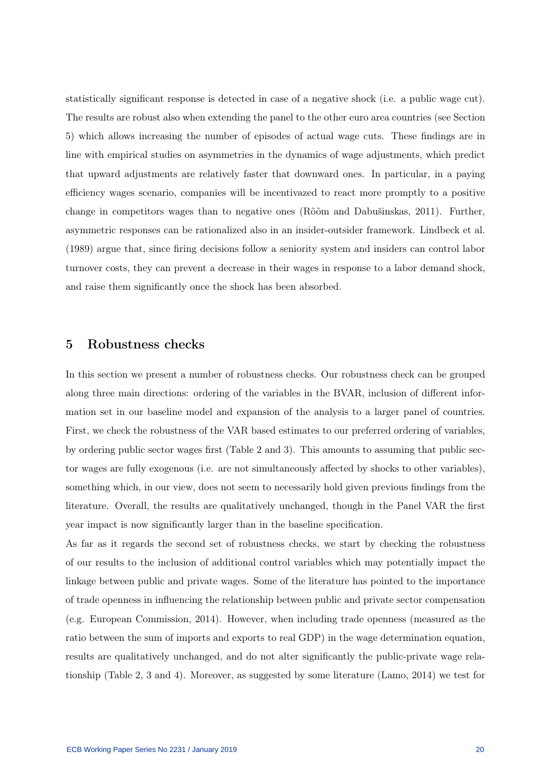statistically significant response is detected in case of a negative shock (i.e. a public wage cut). The results are robust also when extending the panel to the other euro area countries (see Section 5) which allows increasing the number of episodes of actual wage cuts. These findings are in line with empirical studies on asymmetries in the dynamics of wage adjustments, which predict that upward adjustments are relatively faster that downward ones. In particular, in a paying efficiency wages scenario, companies will be incentivazed to react more promptly to a positive change in competitors wages than to negative ones (Rõõm and Dabušinskas, 2011). Further, asymmetric responses can be rationalized also in an insider-outsider framework. Lindbeck et al. (1989) argue that, since firing decisions follow a seniority system and insiders can control labor turnover costs, they can prevent a decrease in their wages in response to a labor demand shock, and raise them significantly once the shock has been absorbed.

#### 5 Robustness checks

In this section we present a number of robustness checks. Our robustness check can be grouped along three main directions: ordering of the variables in the BVAR, inclusion of different information set in our baseline model and expansion of the analysis to a larger panel of countries. First, we check the robustness of the VAR based estimates to our preferred ordering of variables, by ordering public sector wages first (Table 2 and 3). This amounts to assuming that public sector wages are fully exogenous (i.e. are not simultaneously affected by shocks to other variables), something which, in our view, does not seem to necessarily hold given previous findings from the literature. Overall, the results are qualitatively unchanged, though in the Panel VAR the first year impact is now significantly larger than in the baseline specification.

As far as it regards the second set of robustness checks, we start by checking the robustness of our results to the inclusion of additional control variables which may potentially impact the linkage between public and private wages. Some of the literature has pointed to the importance of trade openness in influencing the relationship between public and private sector compensation (e.g. European Commission, 2014). However, when including trade openness (measured as the ratio between the sum of imports and exports to real GDP) in the wage determination equation, results are qualitatively unchanged, and do not alter significantly the public-private wage relationship (Table 2, 3 and 4). Moreover, as suggested by some literature (Lamo, 2014) we test for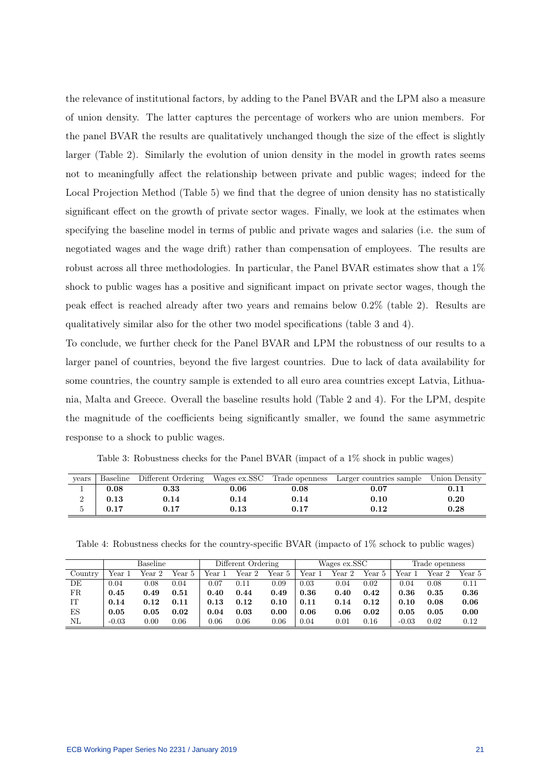the relevance of institutional factors, by adding to the Panel BVAR and the LPM also a measure of union density. The latter captures the percentage of workers who are union members. For the panel BVAR the results are qualitatively unchanged though the size of the effect is slightly larger (Table 2). Similarly the evolution of union density in the model in growth rates seems not to meaningfully affect the relationship between private and public wages; indeed for the Local Projection Method (Table 5) we find that the degree of union density has no statistically significant effect on the growth of private sector wages. Finally, we look at the estimates when specifying the baseline model in terms of public and private wages and salaries (i.e. the sum of negotiated wages and the wage drift) rather than compensation of employees. The results are robust across all three methodologies. In particular, the Panel BVAR estimates show that a 1% shock to public wages has a positive and significant impact on private sector wages, though the peak effect is reached already after two years and remains below 0.2% (table 2). Results are qualitatively similar also for the other two model specifications (table 3 and 4).

To conclude, we further check for the Panel BVAR and LPM the robustness of our results to a larger panel of countries, beyond the five largest countries. Due to lack of data availability for some countries, the country sample is extended to all euro area countries except Latvia, Lithuania, Malta and Greece. Overall the baseline results hold (Table 2 and 4). For the LPM, despite the magnitude of the coefficients being significantly smaller, we found the same asymmetric response to a shock to public wages.

Table 3: Robustness checks for the Panel BVAR (impact of a 1% shock in public wages)

| vears |      |            |          |      | Baseline Different Ordering Wages ex.SSC Trade openness Larger countries sample Union Density |            |
|-------|------|------------|----------|------|-----------------------------------------------------------------------------------------------|------------|
|       | 0.08 | $\rm 0.33$ | 0.06     | 0.08 | 0.07                                                                                          | $\rm 0.11$ |
|       | 0.13 | 0.14       | 0.14     | 0.14 | 0.10                                                                                          | 0.20       |
|       | 0.17 | 0.17       | $0.13\,$ | 0.17 | 0.12                                                                                          | 0.28       |

Table 4: Robustness checks for the country-specific BVAR (impacto of 1% schock to public wages)

|         | <b>Baseline</b> |        |        | Different Ordering |        |        | Wages ex.SSC |        |        | Trade openness |           |        |
|---------|-----------------|--------|--------|--------------------|--------|--------|--------------|--------|--------|----------------|-----------|--------|
| Country | Year 1          | Year 2 | Year 5 | Year 1             | Year 2 | Year 5 | Year 1       | Year 2 | Year 5 | Year 1         | $Year\ 2$ | Year 5 |
| DE      | 0.04            | 0.08   | 0.04   | $0.07\,$           | 0.11   | 0.09   | 0.03         | 0.04   | 0.02   | 0.04           | 0.08      | 0.11   |
| FR.     | 0.45            | 0.49   | 0.51   | 0.40               | 0.44   | 0.49   | 0.36         | 0.40   | 0.42   | 0.36           | 0.35      | 0.36   |
| IT      | 0.14            | 0.12   | 0.11   | 0.13               | 0.12   | 0.10   | 0.11         | 0.14   | 0.12   | 0.10           | 0.08      | 0.06   |
| ES      | 0.05            | 0.05   | 0.02   | 0.04               | 0.03   | 0.00   | 0.06         | 0.06   | 0.02   | 0.05           | 0.05      | 0.00   |
| ΝL      | $-0.03$         | 0.00   | 0.06   | $0.06\,$           | 0.06   | 0.06   | 0.04         | 0.01   | 0.16   | $-0.03$        | 0.02      | 0.12   |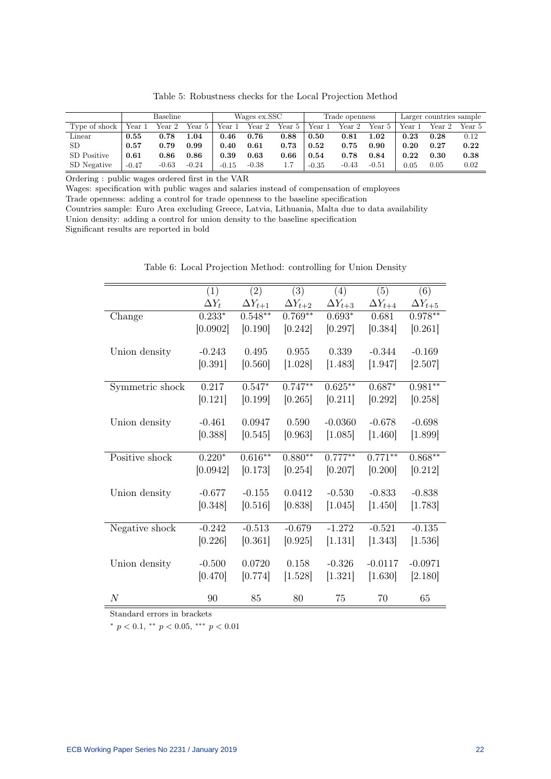|               |         | <b>Baseline</b> |          |         | Wages ex.SSC |        |         | Trade openness |         |        | Larger countries sample |        |  |
|---------------|---------|-----------------|----------|---------|--------------|--------|---------|----------------|---------|--------|-------------------------|--------|--|
| Type of shock | Year 1  | Year 2          | Year 5   | Year 1  | Year 2       | Year 5 | Year 1  | Year 2         | Year 5  | Year 1 | Year 2                  | Year 5 |  |
| Linear        | 0.55    | 0.78            | $1.04\,$ | 0.46    | 0.76         | 0.88   | 0.50    | 0.81           | 1.02    | 0.23   | 0.28                    | 0.12   |  |
| SD            | 0.57    | 0.79            | 0.99     | 0.40    | 0.61         | 0.73   | 0.52    | 0.75           | 0.90    | 0.20   | 0.27                    | 0.22   |  |
| SD Positive   | 0.61    | 0.86            | 0.86     | 0.39    | 0.63         | 0.66   | 0.54    | 0.78           | 0.84    | 0.22   | 0.30                    | 0.38   |  |
| SD Negative   | $-0.47$ | $-0.63$         | $-0.24$  | $-0.15$ | $-0.38$      |        | $-0.35$ | $-0.43$        | $-0.51$ | 0.05   | 0.05                    | 0.02   |  |

Table 5: Robustness checks for the Local Projection Method

Ordering : public wages ordered first in the VAR

Wages: specification with public wages and salaries instead of compensation of employees Trade openness: adding a control for trade openness to the baseline specification

Countries sample: Euro Area excluding Greece, Latvia, Lithuania, Malta due to data availability

Union density: adding a control for union density to the baseline specification

Significant results are reported in bold

|                  | (1)          | (2)              | (3)              | (4)              | (5)              | (6)              |
|------------------|--------------|------------------|------------------|------------------|------------------|------------------|
|                  | $\Delta Y_t$ | $\Delta Y_{t+1}$ | $\Delta Y_{t+2}$ | $\Delta Y_{t+3}$ | $\Delta Y_{t+4}$ | $\Delta Y_{t+5}$ |
| Change           | $0.233*$     | $0.548**$        | $0.769**$        | $0.693*$         | 0.681            | $0.978**$        |
|                  | [0.0902]     | [0.190]          | [0.242]          | [0.297]          | [0.384]          | [0.261]          |
|                  |              |                  |                  |                  |                  |                  |
| Union density    | $-0.243$     | 0.495            | 0.955            | 0.339            | $-0.344$         | $-0.169$         |
|                  | [0.391]      | [0.560]          | [1.028]          | [1.483]          | [1.947]          | [2.507]          |
| Symmetric shock  | 0.217        | $0.547*$         | $0.747**$        | $0.625***$       | $0.687*$         | $0.981**$        |
|                  |              |                  |                  |                  |                  |                  |
|                  | [0.121]      | [0.199]          | [0.265]          | [0.211]          | [0.292]          | [0.258]          |
| Union density    | $-0.461$     | 0.0947           | 0.590            | $-0.0360$        | $-0.678$         | $-0.698$         |
|                  | [0.388]      | [0.545]          | [0.963]          | [1.085]          | [1.460]          | [1.899]          |
|                  |              |                  |                  |                  |                  |                  |
| Positive shock   | $0.220*$     | $0.616***$       | $0.880**$        | $0.777***$       | $0.771***$       | $0.868**$        |
|                  | [0.0942]     | [0.173]          | [0.254]          | [0.207]          | [0.200]          | [0.212]          |
|                  |              |                  |                  |                  |                  |                  |
| Union density    | $-0.677$     | $-0.155$         | 0.0412           | $-0.530$         | $-0.833$         | $-0.838$         |
|                  | [0.348]      | [0.516]          | [0.838]          | [1.045]          | [1.450]          | [1.783]          |
|                  |              |                  |                  |                  |                  |                  |
| Negative shock   | $-0.242$     | $-0.513$         | $-0.679$         | $-1.272$         | $-0.521$         | $-0.135$         |
|                  | [0.226]      | [0.361]          | [0.925]          | [1.131]          | [1.343]          | [1.536]          |
|                  |              | 0.0720           | 0.158            | $-0.326$         | $-0.0117$        | $-0.0971$        |
| Union density    | $-0.500$     |                  |                  |                  |                  |                  |
|                  | [0.470]      | [0.774]          | [1.528]          | [1.321]          | [1.630]          | [2.180]          |
| $\boldsymbol{N}$ | 90           | 85               | 80               | 75               | 70               | 65               |

Table 6: Local Projection Method: controlling for Union Density

Standard errors in brackets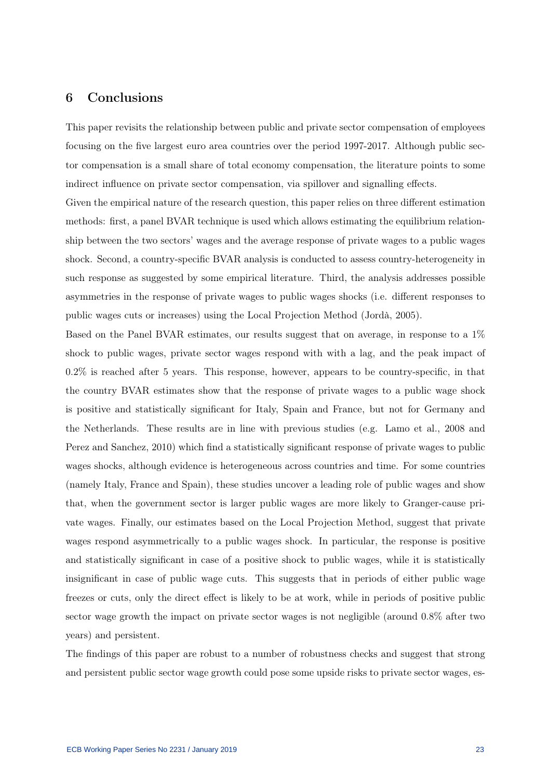## 6 Conclusions

This paper revisits the relationship between public and private sector compensation of employees focusing on the five largest euro area countries over the period 1997-2017. Although public sector compensation is a small share of total economy compensation, the literature points to some indirect influence on private sector compensation, via spillover and signalling effects.

Given the empirical nature of the research question, this paper relies on three different estimation methods: first, a panel BVAR technique is used which allows estimating the equilibrium relationship between the two sectors' wages and the average response of private wages to a public wages shock. Second, a country-specific BVAR analysis is conducted to assess country-heterogeneity in such response as suggested by some empirical literature. Third, the analysis addresses possible asymmetries in the response of private wages to public wages shocks (i.e. different responses to public wages cuts or increases) using the Local Projection Method (Jordà, 2005).

Based on the Panel BVAR estimates, our results suggest that on average, in response to a 1% shock to public wages, private sector wages respond with with a lag, and the peak impact of 0.2% is reached after 5 years. This response, however, appears to be country-specific, in that the country BVAR estimates show that the response of private wages to a public wage shock is positive and statistically significant for Italy, Spain and France, but not for Germany and the Netherlands. These results are in line with previous studies (e.g. Lamo et al., 2008 and Perez and Sanchez, 2010) which find a statistically significant response of private wages to public wages shocks, although evidence is heterogeneous across countries and time. For some countries (namely Italy, France and Spain), these studies uncover a leading role of public wages and show that, when the government sector is larger public wages are more likely to Granger-cause private wages. Finally, our estimates based on the Local Projection Method, suggest that private wages respond asymmetrically to a public wages shock. In particular, the response is positive and statistically significant in case of a positive shock to public wages, while it is statistically insignificant in case of public wage cuts. This suggests that in periods of either public wage freezes or cuts, only the direct effect is likely to be at work, while in periods of positive public sector wage growth the impact on private sector wages is not negligible (around 0.8% after two years) and persistent.

The findings of this paper are robust to a number of robustness checks and suggest that strong and persistent public sector wage growth could pose some upside risks to private sector wages, es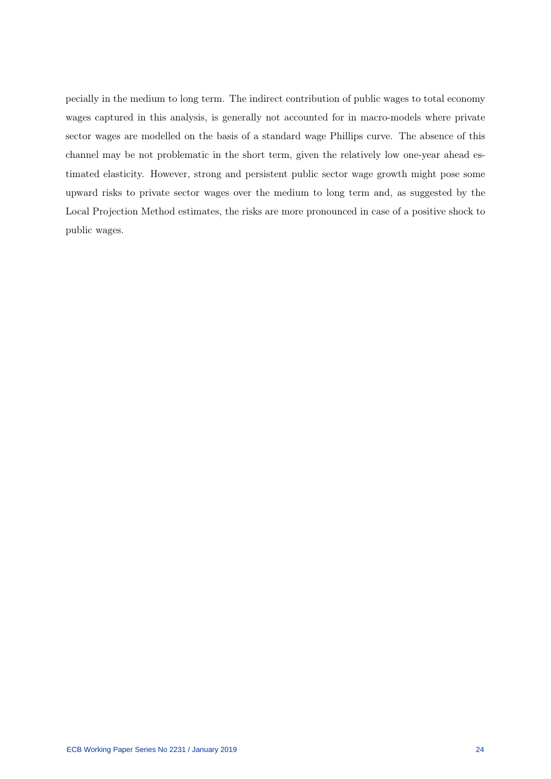pecially in the medium to long term. The indirect contribution of public wages to total economy wages captured in this analysis, is generally not accounted for in macro-models where private sector wages are modelled on the basis of a standard wage Phillips curve. The absence of this channel may be not problematic in the short term, given the relatively low one-year ahead estimated elasticity. However, strong and persistent public sector wage growth might pose some upward risks to private sector wages over the medium to long term and, as suggested by the Local Projection Method estimates, the risks are more pronounced in case of a positive shock to public wages.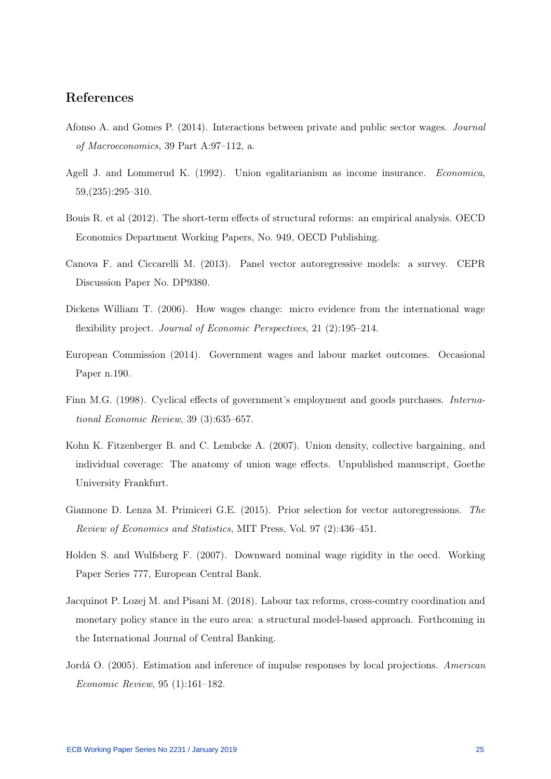## References

- Afonso A. and Gomes P. (2014). Interactions between private and public sector wages. Journal of Macroeconomics, 39 Part A:97–112, a.
- Agell J. and Lommerud K. (1992). Union egalitarianism as income insurance. Economica, 59,(235):295–310.
- Bouis R. et al (2012). The short-term effects of structural reforms: an empirical analysis. OECD Economics Department Working Papers, No. 949, OECD Publishing.
- Canova F. and Ciccarelli M. (2013). Panel vector autoregressive models: a survey. CEPR Discussion Paper No. DP9380.
- Dickens William T. (2006). How wages change: micro evidence from the international wage flexibility project. Journal of Economic Perspectives, 21 (2):195–214.
- European Commission (2014). Government wages and labour market outcomes. Occasional Paper n.190.
- Finn M.G. (1998). Cyclical effects of government's employment and goods purchases. International Economic Review, 39 (3):635–657.
- Kohn K. Fitzenberger B. and C. Lembcke A. (2007). Union density, collective bargaining, and individual coverage: The anatomy of union wage effects. Unpublished manuscript, Goethe University Frankfurt.
- Giannone D. Lenza M. Primiceri G.E. (2015). Prior selection for vector autoregressions. The Review of Economics and Statistics, MIT Press, Vol. 97 (2):436–451.
- Holden S. and Wulfsberg F. (2007). Downward nominal wage rigidity in the oecd. Working Paper Series 777, European Central Bank.
- Jacquinot P. Lozej M. and Pisani M. (2018). Labour tax reforms, cross-country coordination and monetary policy stance in the euro area: a structural model-based approach. Forthcoming in the International Journal of Central Banking.
- Jordá O. (2005). Estimation and inference of impulse responses by local projections. American Economic Review, 95 (1):161–182.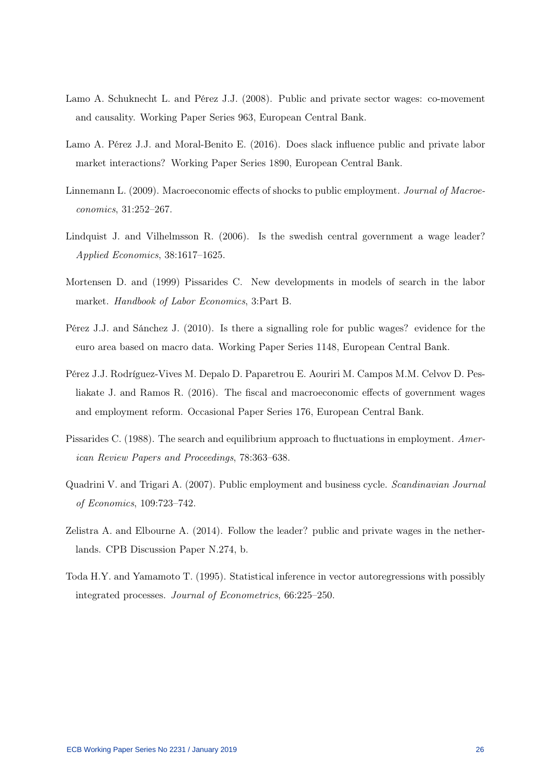- Lamo A. Schuknecht L. and Pérez J.J. (2008). Public and private sector wages: co-movement and causality. Working Paper Series 963, European Central Bank.
- Lamo A. Pérez J.J. and Moral-Benito E. (2016). Does slack influence public and private labor market interactions? Working Paper Series 1890, European Central Bank.
- Linnemann L. (2009). Macroeconomic effects of shocks to public employment. Journal of Macroeconomics, 31:252–267.
- Lindquist J. and Vilhelmsson R. (2006). Is the swedish central government a wage leader? Applied Economics, 38:1617–1625.
- Mortensen D. and (1999) Pissarides C. New developments in models of search in the labor market. Handbook of Labor Economics, 3:Part B.
- Pérez J.J. and Sánchez J. (2010). Is there a signalling role for public wages? evidence for the euro area based on macro data. Working Paper Series 1148, European Central Bank.
- Pérez J.J. Rodríguez-Vives M. Depalo D. Paparetrou E. Aouriri M. Campos M.M. Celvov D. Pesliakate J. and Ramos R. (2016). The fiscal and macroeconomic effects of government wages and employment reform. Occasional Paper Series 176, European Central Bank.
- Pissarides C. (1988). The search and equilibrium approach to fluctuations in employment. American Review Papers and Proceedings, 78:363–638.
- Quadrini V. and Trigari A. (2007). Public employment and business cycle. Scandinavian Journal of Economics, 109:723–742.
- Zelistra A. and Elbourne A. (2014). Follow the leader? public and private wages in the netherlands. CPB Discussion Paper N.274, b.
- Toda H.Y. and Yamamoto T. (1995). Statistical inference in vector autoregressions with possibly integrated processes. Journal of Econometrics, 66:225–250.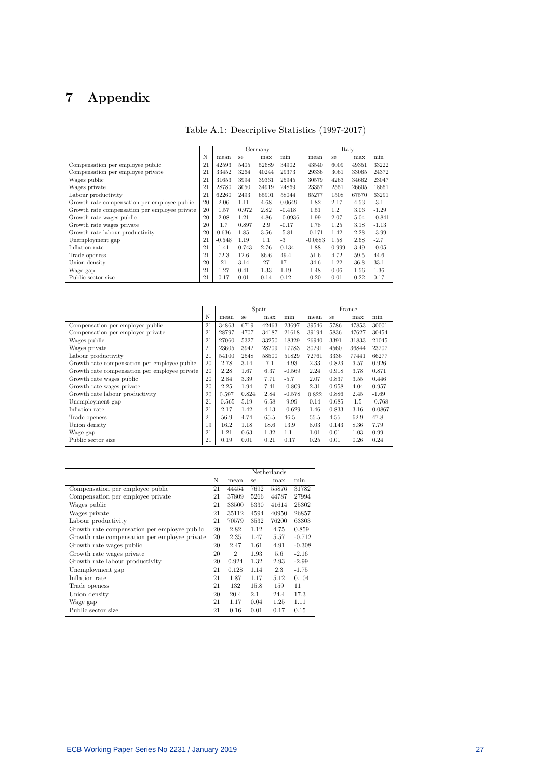# 7 Appendix

|                                               |    |          |       | Germany |           |           | Italy |       |          |
|-----------------------------------------------|----|----------|-------|---------|-----------|-----------|-------|-------|----------|
|                                               | N  | mean     | se    | max     | min       | mean      | se    | max   | min      |
| Compensation per employee public              | 21 | 42593    | 5405  | 52689   | 34902     | 43540     | 6009  | 49351 | 33222    |
| Compensation per employee private             | 21 | 33452    | 3264  | 40244   | 29373     | 29336     | 3061  | 33065 | 24372    |
| Wages public                                  | 21 | 31653    | 3994  | 39361   | 25945     | 30579     | 4263  | 34662 | 23047    |
| Wages private                                 | 21 | 28780    | 3050  | 34919   | 24869     | 23357     | 2551  | 26605 | 18651    |
| Labour productivity                           | 21 | 62260    | 2493  | 65901   | 58044     | 65277     | 1508  | 67570 | 63291    |
| Growth rate compensation per employee public  | 20 | 2.06     | 1.11  | 4.68    | 0.0649    | 1.82      | 2.17  | 4.53  | $-3.1$   |
| Growth rate compensation per employee private | 20 | 1.57     | 0.972 | 2.82    | $-0.418$  | 1.51      | 1.2   | 3.06  | $-1.29$  |
| Growth rate wages public                      | 20 | 2.08     | 1.21  | 4.86    | $-0.0936$ | 1.99      | 2.07  | 5.04  | $-0.841$ |
| Growth rate wages private                     | 20 | 1.7      | 0.897 | 2.9     | $-0.17$   | 1.78      | 1.25  | 3.18  | $-1.13$  |
| Growth rate labour productivity               | 20 | 0.636    | 1.85  | 3.56    | $-5.81$   | $-0.171$  | 1.42  | 2.28  | $-3.99$  |
| Unemployment gap                              | 21 | $-0.548$ | 1.19  | 1.1     | $-3$      | $-0.0883$ | 1.58  | 2.68  | $-2.7$   |
| Inflation rate                                | 21 | 1.41     | 0.743 | 2.76    | 0.134     | 1.88      | 0.999 | 3.49  | $-0.05$  |
| Trade openess                                 | 21 | 72.3     | 12.6  | 86.6    | 49.4      | 51.6      | 4.72  | 59.5  | 44.6     |
| Union density                                 | 20 | 21       | 3.14  | 27      | 17        | 34.6      | 1.22  | 36.8  | 33.1     |
| Wage gap                                      | 21 | 1.27     | 0.41  | 1.33    | 1.19      | 1.48      | 0.06  | 1.56  | 1.36     |
| Public sector size                            | 21 | 0.17     | 0.01  | 0.14    | 0.12      | 0.20      | 0.01  | 0.22  | 0.17     |

|                                               |    |          |       | Spain |          |       |       | France |          |
|-----------------------------------------------|----|----------|-------|-------|----------|-------|-------|--------|----------|
|                                               | N  | mean     | se    | max   | min      | mean  | se    | max    | min      |
| Compensation per employee public              | 21 | 34863    | 6719  | 42463 | 23697    | 39546 | 5786  | 47853  | 30001    |
| Compensation per employee private             | 21 | 28797    | 4707  | 34187 | 21618    | 39194 | 5836  | 47627  | 30454    |
| Wages public                                  | 21 | 27060    | 5327  | 33250 | 18329    | 26940 | 3391  | 31833  | 21045    |
| Wages private                                 | 21 | 23605    | 3942  | 28209 | 17783    | 30291 | 4560  | 36844  | 23207    |
| Labour productivity                           | 21 | 54100    | 2548  | 58500 | 51829    | 72761 | 3336  | 77441  | 66277    |
| Growth rate compensation per employee public  | 20 | 2.78     | 3.14  | 7.1   | $-4.93$  | 2.33  | 0.823 | 3.57   | 0.926    |
| Growth rate compensation per employee private | 20 | 2.28     | 1.67  | 6.37  | $-0.569$ | 2.24  | 0.918 | 3.78   | 0.871    |
| Growth rate wages public                      | 20 | 2.84     | 3.39  | 7.71  | $-5.7$   | 2.07  | 0.837 | 3.55   | 0.446    |
| Growth rate wages private                     | 20 | 2.25     | 1.94  | 7.41  | $-0.809$ | 2.31  | 0.958 | 4.04   | 0.957    |
| Growth rate labour productivity               | 20 | 0.597    | 0.824 | 2.84  | $-0.578$ | 0.822 | 0.886 | 2.45   | $-1.69$  |
| Unemployment gap                              | 21 | $-0.565$ | 5.19  | 6.58  | $-9.99$  | 0.14  | 0.685 | 1.5    | $-0.768$ |
| Inflation rate                                | 21 | 2.17     | 1.42  | 4.13  | $-0.629$ | 1.46  | 0.833 | 3.16   | 0.0867   |
| Trade openess                                 | 21 | 56.9     | 4.74  | 65.5  | 46.5     | 55.5  | 4.55  | 62.9   | 47.8     |
| Union density                                 | 19 | 16.2     | 1.18  | 18.6  | 13.9     | 8.03  | 0.143 | 8.36   | 7.79     |
| Wage gap                                      | 21 | 1.21     | 0.63  | 1.32  | 1.1      | 1.01  | 0.01  | 1.03   | 0.99     |
| Public sector size                            | 21 | 0.19     | 0.01  | 0.21  | 0.17     | 0.25  | 0.01  | 0.26   | 0.24     |

|                                               |    |                |      | Netherlands |          |
|-----------------------------------------------|----|----------------|------|-------------|----------|
|                                               | N  | mean           | se   | max         | min      |
| Compensation per employee public              | 21 | 44454          | 7692 | 55876       | 31782    |
| Compensation per employee private             | 21 | 37809          | 5266 | 44787       | 27994    |
| Wages public                                  | 21 | 33500          | 5330 | 41614       | 25302    |
| Wages private                                 | 21 | 35112          | 4594 | 40950       | 26857    |
| Labour productivity                           | 21 | 70579          | 3532 | 76200       | 63303    |
| Growth rate compensation per employee public  | 20 | 2.82           | 1.12 | 4.75        | 0.859    |
| Growth rate compensation per employee private | 20 | 2.35           | 1.47 | 5.57        | $-0.712$ |
| Growth rate wages public                      | 20 | 2.47           | 1.61 | 4.91        | $-0.308$ |
| Growth rate wages private                     | 20 | $\overline{2}$ | 1.93 | 5.6         | $-2.16$  |
| Growth rate labour productivity               | 20 | 0.924          | 1.32 | 2.93        | $-2.99$  |
| Unemployment gap                              | 21 | 0.128          | 1.14 | 2.3         | $-1.75$  |
| Inflation rate                                | 21 | 1.87           | 1.17 | 5.12        | 0.104    |
| Trade openess                                 | 21 | 132            | 15.8 | 159         | 11       |
| Union density                                 | 20 | 20.4           | 2.1  | 24.4        | 17.3     |
| Wage gap                                      | 21 | 1.17           | 0.04 | 1.25        | 1.11     |
| Public sector size                            | 21 | 0.16           | 0.01 | 0.17        | 0.15     |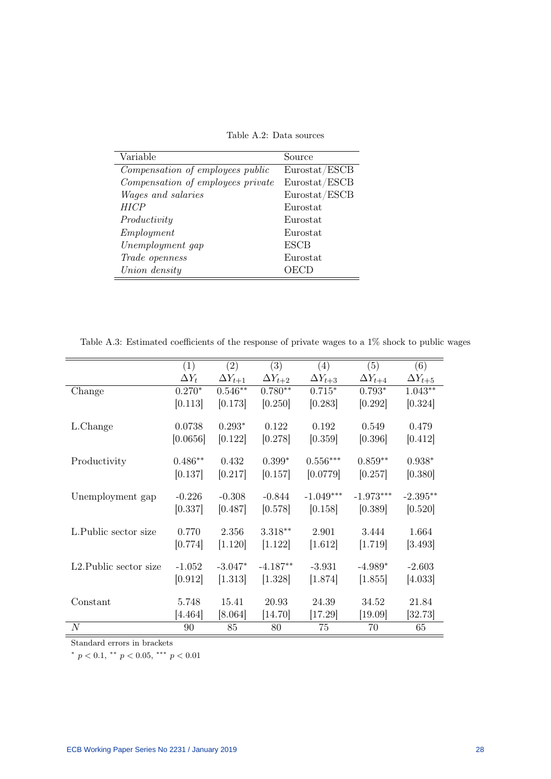Table A.2: Data sources

| Variable                          | Source        |
|-----------------------------------|---------------|
| Compensation of employees public  | Eurostat/ESCB |
| Compensation of employees private | Eurostat/ESCB |
| <i>Wages and salaries</i>         | Eurostat/ESCB |
| HICP                              | Eurostat      |
| Productivity                      | Eurostat      |
| Employment                        | Eurostat      |
| Unemployment gap                  | <b>ESCB</b>   |
| Trade openness                    | Eurostat      |
| Union density                     | OECD          |

Table A.3: Estimated coefficients of the response of private wages to a 1% shock to public wages

|                                     | (1)          | $\left( 2\right)$ | (3)              | (4)              | (5)              | (6)              |
|-------------------------------------|--------------|-------------------|------------------|------------------|------------------|------------------|
|                                     | $\Delta Y_t$ | $\Delta Y_{t+1}$  | $\Delta Y_{t+2}$ | $\Delta Y_{t+3}$ | $\Delta Y_{t+4}$ | $\Delta Y_{t+5}$ |
| Change                              | $0.270*$     | $0.546**$         | $0.780**$        | $0.715*$         | $0.793*$         | $1.043**$        |
|                                     | [0.113]      | [0.173]           | [0.250]          | [0.283]          | [0.292]          | [0.324]          |
| L.Change                            | 0.0738       | $0.293*$          | 0.122            | 0.192            | 0.549            | 0.479            |
|                                     | [0.0656]     | [0.122]           | [0.278]          | [0.359]          | [0.396]          | [0.412]          |
| Productivity                        | $0.486**$    | 0.432             | $0.399*$         | $0.556***$       | $0.859**$        | $0.938*$         |
|                                     | [0.137]      | [0.217]           | [0.157]          | [0.0779]         | [0.257]          | [0.380]          |
|                                     |              |                   |                  |                  |                  |                  |
| Unemployment gap                    | $-0.226$     | $-0.308$          | $-0.844$         | $-1.049***$      | $-1.973***$      | $-2.395**$       |
|                                     | [0.337]      | [0.487]           | [0.578]          | [0.158]          | [0.389]          | [0.520]          |
| L.Public sector size                | 0.770        | 2.356             | $3.318**$        | 2.901            | 3.444            | 1.664            |
|                                     | [0.774]      | [1.120]           | [1.122]          | [1.612]          | [1.719]          | [3.493]          |
| L <sub>2</sub> . Public sector size | $-1.052$     | $-3.047*$         | $-4.187**$       | $-3.931$         | $-4.989*$        | $-2.603$         |
|                                     | [0.912]      | [1.313]           | [1.328]          | [1.874]          | [1.855]          | [4.033]          |
|                                     |              |                   |                  |                  |                  |                  |
| Constant                            | 5.748        | 15.41             | 20.93            | 24.39            | 34.52            | 21.84            |
|                                     | [4.464]      | [8.064]           | [14.70]          | [17.29]          | $[19.09]$        | $[32.73]$        |
| N                                   | 90           | 85                | 80               | 75               | 70               | 65               |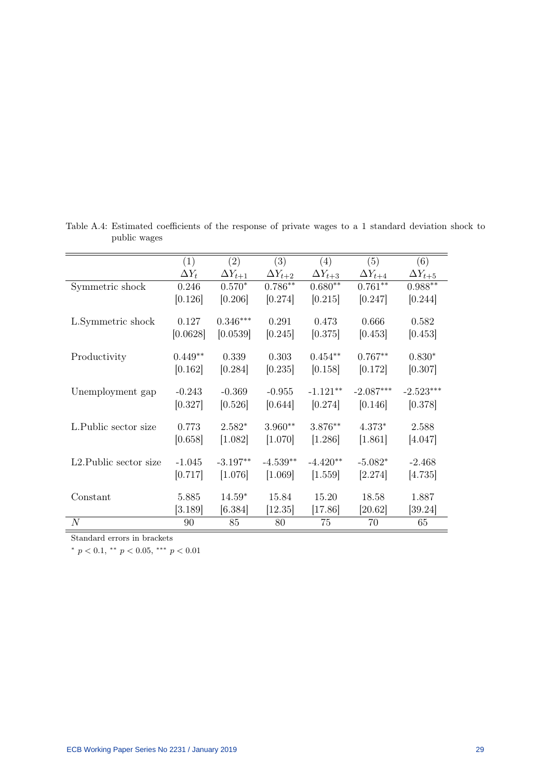|                        | (1)          | (2)              | (3)              | (4)              | (5)              | (6)              |
|------------------------|--------------|------------------|------------------|------------------|------------------|------------------|
|                        | $\Delta Y_t$ | $\Delta Y_{t+1}$ | $\Delta Y_{t+2}$ | $\Delta Y_{t+3}$ | $\Delta Y_{t+4}$ | $\Delta Y_{t+5}$ |
| Symmetric shock        | 0.246        | $0.570*$         | $0.786**$        | $0.680**$        | $0.761**$        | $0.988**$        |
|                        | [0.126]      | [0.206]          | [0.274]          | [0.215]          | [0.247]          | [0.244]          |
|                        |              |                  |                  |                  |                  |                  |
| L.Symmetric shock      | 0.127        | $0.346***$       | 0.291            | 0.473            | 0.666            | 0.582            |
|                        | [0.0628]     | [0.0539]         | [0.245]          | [0.375]          | [0.453]          | [0.453]          |
|                        |              |                  |                  |                  |                  |                  |
| Productivity           | $0.449**$    | 0.339            | 0.303            | $0.454**$        | $0.767**$        | $0.830*$         |
|                        | [0.162]      | [0.284]          | [0.235]          | [0.158]          | [0.172]          | [0.307]          |
|                        |              |                  |                  |                  |                  |                  |
| Unemployment gap       | $-0.243$     | $-0.369$         | $-0.955$         | $-1.121**$       | $-2.087***$      | $-2.523***$      |
|                        | [0.327]      | [0.526]          | [0.644]          | [0.274]          | [0.146]          | [0.378]          |
| L.Public sector size   | 0.773        | $2.582*$         | $3.960**$        | 3.876**          | $4.373*$         | 2.588            |
|                        |              |                  |                  |                  |                  |                  |
|                        | [0.658]      | [1.082]          | [1.070]          | [1.286]          | [1.861]          | [4.047]          |
| L2. Public sector size | $-1.045$     | $-3.197**$       | $-4.539**$       | $-4.420**$       | $-5.082*$        | $-2.468$         |
|                        | [0.717]      | [1.076]          | [1.069]          | [1.559]          | [2.274]          | [4.735]          |
|                        |              |                  |                  |                  |                  |                  |
| Constant               | 5.885        | $14.59*$         | 15.84            | 15.20            | 18.58            | 1.887            |
|                        | [3.189]      | [6.384]          | [12.35]          | [17.86]          | [20.62]          | [39.24]          |
| $\overline{N}$         | 90           | 85               | 80               | 75               | 70               | 65               |

Table A.4: Estimated coefficients of the response of private wages to a 1 standard deviation shock to public wages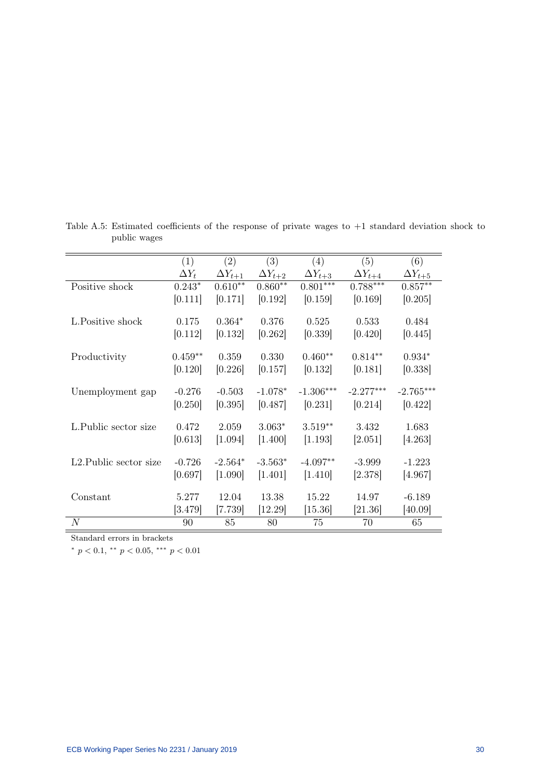|                                     | (1)          | (2)              | $\left( 3\right)$ | (4)              | (5)              | (6)              |
|-------------------------------------|--------------|------------------|-------------------|------------------|------------------|------------------|
|                                     | $\Delta Y_t$ | $\Delta Y_{t+1}$ | $\Delta Y_{t+2}$  | $\Delta Y_{t+3}$ | $\Delta Y_{t+4}$ | $\Delta Y_{t+5}$ |
| Positive shock                      | $0.243*$     | $0.610**$        | $0.860**$         | $0.801***$       | $0.788***$       | $0.857**$        |
|                                     | [0.111]      | [0.171]          | [0.192]           | [0.159]          | [0.169]          | [0.205]          |
|                                     |              |                  |                   |                  |                  |                  |
| L.Positive shock                    | 0.175        | $0.364*$         | 0.376             | 0.525            | 0.533            | 0.484            |
|                                     | [0.112]      | [0.132]          | [0.262]           | [0.339]          | [0.420]          | [0.445]          |
|                                     |              |                  |                   |                  |                  |                  |
| Productivity                        | $0.459**$    | 0.359            | 0.330             | $0.460**$        | $0.814**$        | $0.934*$         |
|                                     | [0.120]      | [0.226]          | [0.157]           | [0.132]          | [0.181]          | [0.338]          |
|                                     |              |                  |                   |                  |                  |                  |
| Unemployment gap                    | $-0.276$     | $-0.503$         | $-1.078*$         | $-1.306***$      | $-2.277***$      | $-2.765***$      |
|                                     | [0.250]      | [0.395]          | [0.487]           | [0.231]          | [0.214]          | [0.422]          |
| L. Public sector size               | 0.472        | 2.059            | $3.063*$          | $3.519**$        | 3.432            | 1.683            |
|                                     | [0.613]      | [1.094]          | [1.400]           | [1.193]          | [2.051]          | [4.263]          |
|                                     |              |                  |                   |                  |                  |                  |
| L <sub>2</sub> . Public sector size | $-0.726$     | $-2.564*$        | $-3.563*$         | $-4.097**$       | $-3.999$         | $-1.223$         |
|                                     | [0.697]      | [1.090]          | [1.401]           | [1.410]          | [2.378]          | [4.967]          |
|                                     |              |                  |                   |                  |                  |                  |
| Constant                            | 5.277        | 12.04            | 13.38             | 15.22            | 14.97            | $-6.189$         |
|                                     | $[3.479]$    | [7.739]          | $[12.29]$         | $[15.36]$        | [21.36]          | [40.09]          |
| $\boldsymbol{N}$                    | 90           | 85               | 80                | 75               | 70               | 65               |

Table A.5: Estimated coefficients of the response of private wages to +1 standard deviation shock to public wages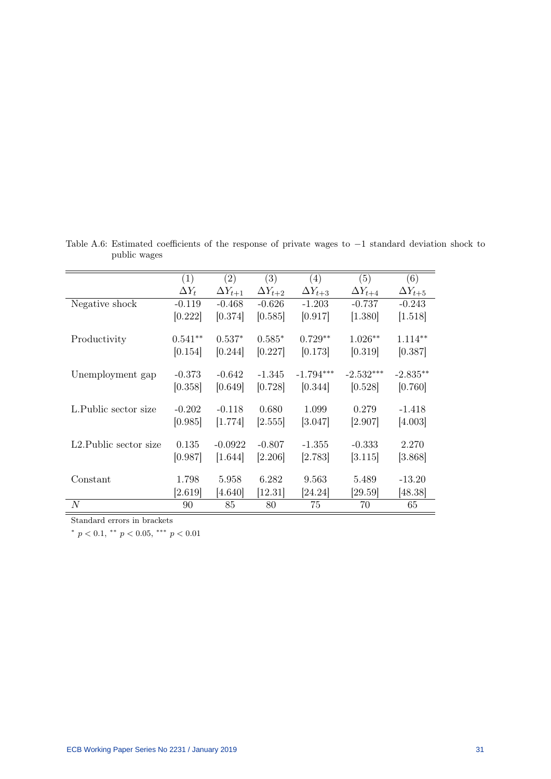|                                     | (1)          | (2)              | (3)              | (4)              | (5)              | (6)              |
|-------------------------------------|--------------|------------------|------------------|------------------|------------------|------------------|
|                                     | $\Delta Y_t$ | $\Delta Y_{t+1}$ | $\Delta Y_{t+2}$ | $\Delta Y_{t+3}$ | $\Delta Y_{t+4}$ | $\Delta Y_{t+5}$ |
| Negative shock                      | $-0.119$     | $-0.468$         | $-0.626$         | $-1.203$         | $-0.737$         | $-0.243$         |
|                                     | [0.222]      | [0.374]          | [0.585]          | [0.917]          | [1.380]          | [1.518]          |
| Productivity                        | $0.541**$    | $0.537*$         | $0.585*$         | $0.729**$        | $1.026**$        | $1.114**$        |
|                                     | [0.154]      | [0.244]          | [0.227]          | [0.173]          | [0.319]          | [0.387]          |
| Unemployment gap                    | $-0.373$     | $-0.642$         | $-1.345$         | $-1.794***$      | $-2.532***$      | $-2.835**$       |
|                                     | [0.358]      | [0.649]          | [0.728]          | [0.344]          | [0.528]          | [0.760]          |
| L.Public sector size                | $-0.202$     | $-0.118$         | 0.680            | 1.099            | 0.279            |                  |
|                                     |              |                  |                  |                  |                  | $-1.418$         |
|                                     | [0.985]      | [1.774]          | 2.555            | [3.047]          | 2.907            | [4.003]          |
| L <sub>2</sub> . Public sector size | 0.135        | $-0.0922$        | $-0.807$         | $-1.355$         | $-0.333$         | 2.270            |
|                                     | [0.987]      | [1.644]          | [2.206]          | [2.783]          | [3.115]          | [3.868]          |
| Constant                            | 1.798        | 5.958            | 6.282            | 9.563            | 5.489            | $-13.20$         |
|                                     | [2.619]      | [4.640]          | [12.31]          | [24.24]          | [29.59]          | [48.38]          |
| N                                   | 90           | 85               | 80               | 75               | 70               | 65               |

Table A.6: Estimated coefficients of the response of private wages to −1 standard deviation shock to public wages